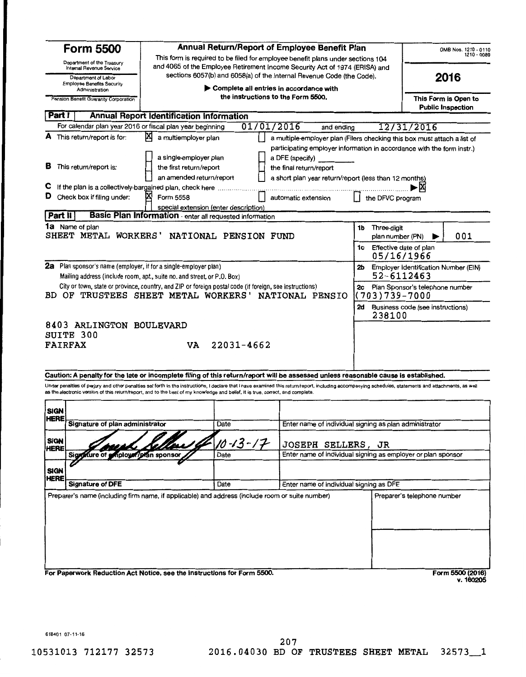| Part I                     | Department of the Treasury<br>Internal Revenue Service<br>Department of Labor<br><b>Employee Benefits Security</b> | sections 6057(b) and 6058(a) of the Internal Revenue Code (the Code).                                                                              |                      | This form is required to be filed for employee benefit plans under sections 104<br>and 4065 of the Employee Retirement Income Security Act of 1974 (ERISA) and                                                                                            |                                           |                                         |  |
|----------------------------|--------------------------------------------------------------------------------------------------------------------|----------------------------------------------------------------------------------------------------------------------------------------------------|----------------------|-----------------------------------------------------------------------------------------------------------------------------------------------------------------------------------------------------------------------------------------------------------|-------------------------------------------|-----------------------------------------|--|
|                            |                                                                                                                    |                                                                                                                                                    | 2016                 |                                                                                                                                                                                                                                                           |                                           |                                         |  |
|                            | Administration<br>Pension Benefit Guaranty Corporation                                                             |                                                                                                                                                    | This Form is Open to |                                                                                                                                                                                                                                                           |                                           |                                         |  |
|                            |                                                                                                                    | <b>Annual Report Identification Information</b>                                                                                                    |                      |                                                                                                                                                                                                                                                           |                                           | <b>Public Inspection</b>                |  |
|                            |                                                                                                                    | For calendar plan year 2016 or fiscal plan year beginning                                                                                          | 01/01/2016           |                                                                                                                                                                                                                                                           |                                           |                                         |  |
|                            | A This return/report is for:                                                                                       | 囚<br>a multiemployer plan                                                                                                                          |                      | and ending                                                                                                                                                                                                                                                |                                           | 12/31/2016                              |  |
| в                          | This return/report is:                                                                                             | a single-employer plan<br>the first return/report<br>an amended return/report                                                                      |                      | a multiple-employer plan (Filers checking this box must attach a list of<br>participating employer information in accordance with the form instr.)<br>a DFE (specify)<br>the final return/report<br>a short plan year return/report (less than 12 months) |                                           |                                         |  |
| С                          |                                                                                                                    | If the plan is a collectively-bargained plan, check here                                                                                           |                      |                                                                                                                                                                                                                                                           |                                           | ۰¤                                      |  |
| D                          | Check box if filing under:                                                                                         | Form 5558                                                                                                                                          |                      | automatic extension                                                                                                                                                                                                                                       | the DFVC program                          |                                         |  |
|                            |                                                                                                                    | special extension (enter description)                                                                                                              |                      |                                                                                                                                                                                                                                                           |                                           |                                         |  |
| Part II                    |                                                                                                                    | Basic Plan Information - enter all requested information                                                                                           |                      |                                                                                                                                                                                                                                                           |                                           |                                         |  |
|                            | <b>1a</b> Name of plan                                                                                             | SHEET METAL WORKERS' NATIONAL PENSION FUND                                                                                                         |                      |                                                                                                                                                                                                                                                           | <b>1b</b> Three-digit<br>plan number (PN) | 001                                     |  |
|                            |                                                                                                                    |                                                                                                                                                    |                      |                                                                                                                                                                                                                                                           | 1c Effective date of plan<br>05/16/1966   |                                         |  |
|                            |                                                                                                                    | <b>2a</b> Plan sponsor's name (employer, if for a single-employer plan)<br>Mailing address (include room, apt., suite no. and street, or P.O. Box) |                      |                                                                                                                                                                                                                                                           | 52-6112463                                | 2b Employer Identification Number (EIN) |  |
|                            |                                                                                                                    | City or town, state or province, country, and ZIP or foreign postal code (if foreign, see instructions)                                            |                      | BD OF TRUSTEES SHEET METAL WORKERS' NATIONAL PENSIO                                                                                                                                                                                                       | (703)739-7000                             | 2c Plan Sponsor's telephone number      |  |
|                            |                                                                                                                    |                                                                                                                                                    |                      |                                                                                                                                                                                                                                                           | 238100                                    | 2d Business code (see instructions)     |  |
| <b>FAIRFAX</b>             | 8403 ARLINGTON BOULEVARD<br>SUITE 300                                                                              | VA                                                                                                                                                 | $22031 - 4662$       |                                                                                                                                                                                                                                                           |                                           |                                         |  |
|                            |                                                                                                                    |                                                                                                                                                    |                      | Caution: A penalty for the late or incomplete filing of this return/report will be assessed unless reasonable cause is established.                                                                                                                       |                                           |                                         |  |
|                            |                                                                                                                    | as the electronic version of this return/report, and to the best of my knowledge and belief, it is true, correct, and complete.                    |                      | Under penalties of perjury and other penalties set forth in the instructions, I declare that I have examined this return/report, including accompanying schedules, statements and attachments, as well                                                    |                                           |                                         |  |
| SIGN                       |                                                                                                                    |                                                                                                                                                    |                      |                                                                                                                                                                                                                                                           |                                           |                                         |  |
| HERE                       | Signature of plan administrator                                                                                    |                                                                                                                                                    | Date                 | Enter name of individual signing as plan administrator                                                                                                                                                                                                    |                                           |                                         |  |
| <b>SIGN</b><br>HERE        |                                                                                                                    |                                                                                                                                                    | 10-13-17             | JOSEPH SELLERS, JR                                                                                                                                                                                                                                        |                                           |                                         |  |
|                            | ture of employer/plan sponsor<br>Sigu                                                                              |                                                                                                                                                    | Date                 | Enter name of individual signing as employer or plan sponsor                                                                                                                                                                                              |                                           |                                         |  |
| <b>SIGN</b><br><b>HERE</b> |                                                                                                                    |                                                                                                                                                    |                      |                                                                                                                                                                                                                                                           |                                           |                                         |  |
|                            | <b>Signature of DFE</b>                                                                                            |                                                                                                                                                    | Date                 | Enter name of individual signing as DFE                                                                                                                                                                                                                   |                                           |                                         |  |
|                            |                                                                                                                    | Preparer's name (including firm name, if applicable) and address (include room or suite number)                                                    |                      |                                                                                                                                                                                                                                                           |                                           | Preparer's telephone number             |  |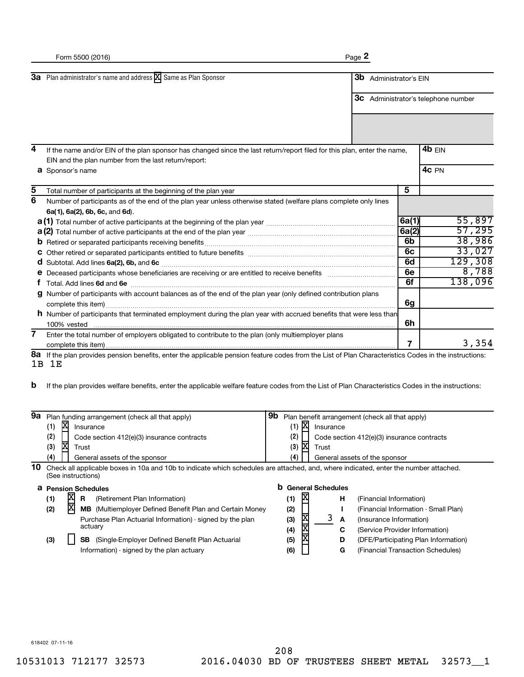|                | Form 5500 (2016)                                                                                                                                                                 | Page 2 |                     |                |                                            |
|----------------|----------------------------------------------------------------------------------------------------------------------------------------------------------------------------------|--------|---------------------|----------------|--------------------------------------------|
|                | 3a Plan administrator's name and address X Same as Plan Sponsor                                                                                                                  | 3b     | Administrator's EIN |                | <b>3c</b> Administrator's telephone number |
|                |                                                                                                                                                                                  |        |                     |                |                                            |
| 4              | If the name and/or EIN of the plan sponsor has changed since the last return/report filed for this plan, enter the name,<br>EIN and the plan number from the last return/report: |        |                     |                | 4 $b$ EIN<br>4c PN                         |
| 5              | <b>a</b> Sponsor's name                                                                                                                                                          |        |                     | 5              |                                            |
| $\overline{6}$ | Total number of participants at the beginning of the plan year                                                                                                                   |        |                     |                |                                            |
|                | Number of participants as of the end of the plan year unless otherwise stated (welfare plans complete only lines                                                                 |        |                     |                |                                            |
|                | 6a(1), 6a(2), 6b, 6c, and 6d).                                                                                                                                                   |        |                     |                | 55,897                                     |
|                | <b>a (1)</b> Total number of active participants at the beginning of the plan year <i>manumumumumumumumumum</i>                                                                  |        |                     | 6a(1)          |                                            |
|                |                                                                                                                                                                                  |        |                     | 6a(2)          | 57,295                                     |
|                |                                                                                                                                                                                  |        |                     | 6 <sub>b</sub> | 38,986                                     |
|                |                                                                                                                                                                                  |        |                     | 6c             | 33,027                                     |
|                |                                                                                                                                                                                  |        |                     | 6d             | 129,308                                    |
|                |                                                                                                                                                                                  |        |                     | 6e             | 8,788                                      |
|                |                                                                                                                                                                                  |        |                     | 6f             | 138,096                                    |
|                | g Number of participants with account balances as of the end of the plan year (only defined contribution plans                                                                   |        |                     |                |                                            |
|                |                                                                                                                                                                                  |        |                     | 6g             |                                            |
|                | <b>h</b> Number of participants that terminated employment during the plan year with accrued benefits that were less than                                                        |        |                     |                |                                            |
|                | 100% vested                                                                                                                                                                      |        |                     | 6h             |                                            |
| $\overline{7}$ | Enter the total number of employers obligated to contribute to the plan (only multiemployer plans                                                                                |        |                     |                |                                            |
|                |                                                                                                                                                                                  |        |                     | 7              | 3,354                                      |
| 8а<br>1B       | If the plan provides pension benefits, enter the applicable pension feature codes from the List of Plan Characteristics Codes in the instructions:<br>1E                         |        |                     |                |                                            |

If the plan provides welfare benefits, enter the applicable welfare feature codes from the List of Plan Characteristics Codes in the instructions: **b**

| 9а |                                                                                                                                                            |     | Plan funding arrangement (check all that apply)                 | 9b | Plan benefit arrangement (check all that apply) |              |                          |   |   |                                            |
|----|------------------------------------------------------------------------------------------------------------------------------------------------------------|-----|-----------------------------------------------------------------|----|-------------------------------------------------|--------------|--------------------------|---|---|--------------------------------------------|
|    | (1)                                                                                                                                                        | x   | Insurance                                                       |    | (1)                                             | X            | Insurance                |   |   |                                            |
|    | (2)                                                                                                                                                        |     | Code section 412(e)(3) insurance contracts                      |    | (2)                                             |              |                          |   |   | Code section 412(e)(3) insurance contracts |
|    | (3)                                                                                                                                                        | X   | Trust                                                           |    | (3)                                             | X            | Trust                    |   |   |                                            |
|    | (4)                                                                                                                                                        |     | General assets of the sponsor                                   |    | (4)                                             |              |                          |   |   | General assets of the sponsor              |
| 10 | Check all applicable boxes in 10a and 10b to indicate which schedules are attached, and, where indicated, enter the number attached.<br>(See instructions) |     |                                                                 |    |                                                 |              |                          |   |   |                                            |
|    |                                                                                                                                                            |     |                                                                 |    |                                                 |              |                          |   |   |                                            |
| a  |                                                                                                                                                            |     | <b>Pension Schedules</b>                                        | b  |                                                 |              | <b>General Schedules</b> |   |   |                                            |
|    | (1)                                                                                                                                                        |     | R.<br>(Retirement Plan Information)                             |    | (1)                                             | X            |                          |   | н | (Financial Information)                    |
|    | (2)                                                                                                                                                        | XIX | <b>MB</b> (Multiemployer Defined Benefit Plan and Certain Money |    | (2)                                             |              |                          |   |   | (Financial Information - Small Plan)       |
|    |                                                                                                                                                            |     | Purchase Plan Actuarial Information) - signed by the plan       |    | (3)                                             |              |                          | 3 | A | (Insurance Information)                    |
|    |                                                                                                                                                            |     | actuary                                                         |    | (4)                                             |              |                          |   | C | (Service Provider Information)             |
|    | (3)                                                                                                                                                        |     | (Single-Employer Defined Benefit Plan Actuarial<br><b>SB</b>    |    | (5)                                             | <b>XIXIX</b> |                          |   | D | (DFE/Participating Plan Information)       |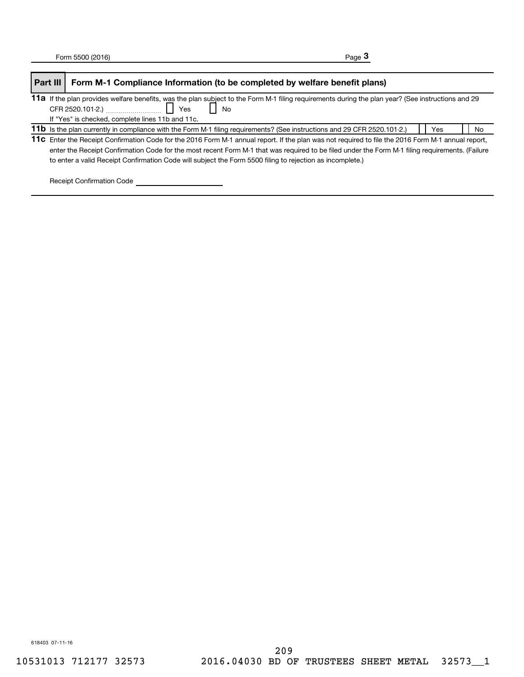| Part III | Form M-1 Compliance Information (to be completed by welfare benefit plans)                                                                         |     |    |  |  |
|----------|----------------------------------------------------------------------------------------------------------------------------------------------------|-----|----|--|--|
|          | 11a If the plan provides welfare benefits, was the plan subject to the Form M-1 filing requirements during the plan year? (See instructions and 29 |     |    |  |  |
|          | No                                                                                                                                                 |     |    |  |  |
|          | If "Yes" is checked, complete lines 11b and 11c.                                                                                                   |     |    |  |  |
|          | 11b Is the plan currently in compliance with the Form M-1 filing requirements? (See instructions and 29 CFR 2520.101-2.)                           | Yes | No |  |  |
|          | 11c Enter the Receipt Confirmation Code for the 2016 Form M-1 annual report. If the plan was not required to file the 2016 Form M-1 annual report, |     |    |  |  |
|          | enter the Receipt Confirmation Code for the most recent Form M-1 that was required to be filed under the Form M-1 filing requirements. (Failure    |     |    |  |  |
|          | to enter a valid Receipt Confirmation Code will subject the Form 5500 filing to rejection as incomplete.)                                          |     |    |  |  |

Receipt Confirmation Code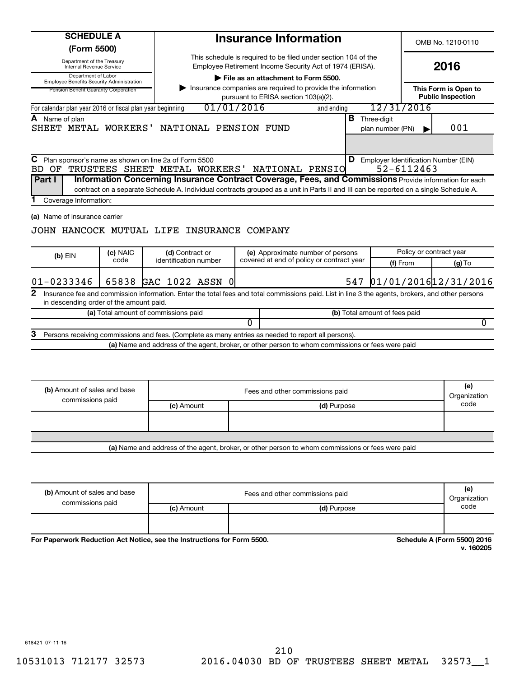| <b>SCHEDULE A</b>                                                       |          |                                                                                                                                                                                                 | <b>Insurance Information</b>    |                                                                                                     |             |     |                                          |            | OMB No. 1210-0110                                |   |
|-------------------------------------------------------------------------|----------|-------------------------------------------------------------------------------------------------------------------------------------------------------------------------------------------------|---------------------------------|-----------------------------------------------------------------------------------------------------|-------------|-----|------------------------------------------|------------|--------------------------------------------------|---|
| (Form 5500)<br>Department of the Treasury                               |          |                                                                                                                                                                                                 |                                 | This schedule is required to be filed under section 104 of the                                      |             |     |                                          |            |                                                  |   |
| Internal Revenue Service                                                |          |                                                                                                                                                                                                 |                                 | Employee Retirement Income Security Act of 1974 (ERISA).                                            |             |     |                                          |            | 2016                                             |   |
| Department of Labor<br><b>Employee Benefits Security Administration</b> |          |                                                                                                                                                                                                 |                                 | File as an attachment to Form 5500.                                                                 |             |     |                                          |            |                                                  |   |
| Pension Benefit Guaranty Corporation                                    |          |                                                                                                                                                                                                 |                                 | Insurance companies are required to provide the information<br>pursuant to ERISA section 103(a)(2). |             |     |                                          |            | This Form is Open to<br><b>Public Inspection</b> |   |
| For calendar plan year 2016 or fiscal plan year beginning               |          | 01/01/2016                                                                                                                                                                                      |                                 |                                                                                                     | and ending  |     |                                          | 12/31/2016 |                                                  |   |
| <b>A</b> Name of plan<br>SHEET METAL WORKERS'                           |          | NATIONAL PENSION FUND                                                                                                                                                                           |                                 |                                                                                                     |             |     | <b>B</b> Three-digit<br>plan number (PN) |            | 001                                              |   |
| С<br>BD OF<br>Part I                                                    |          | Plan sponsor's name as shown on line 2a of Form 5500<br>TRUSTEES SHEET METAL WORKERS'<br>Information Concerning Insurance Contract Coverage, Fees, and Commissions Provide information for each |                                 | NATIONAL PENSIO                                                                                     |             |     |                                          | 52-6112463 | <b>D</b> Employer Identification Number (EIN)    |   |
| Coverage Information:                                                   |          | contract on a separate Schedule A. Individual contracts grouped as a unit in Parts II and III can be reported on a single Schedule A.                                                           |                                 |                                                                                                     |             |     |                                          |            |                                                  |   |
|                                                                         | (c) NAIC | JOHN HANCOCK MUTUAL LIFE INSURANCE COMPANY<br>(d) Contract or                                                                                                                                   |                                 | (e) Approximate number of persons                                                                   |             |     |                                          |            | Policy or contract year                          |   |
| $(b)$ EIN                                                               | code     | identification number                                                                                                                                                                           |                                 | covered at end of policy or contract year                                                           |             |     |                                          | (f) From   | $(g)$ To                                         |   |
| $01 - 0233346$                                                          |          | 65838 GAC 1022 ASSN 0                                                                                                                                                                           |                                 |                                                                                                     |             | 547 |                                          |            | 01/01/2016 12/31/2016                            |   |
| 2<br>in descending order of the amount paid.                            |          | Insurance fee and commission information. Enter the total fees and total commissions paid. List in line 3 the agents, brokers, and other persons                                                |                                 |                                                                                                     |             |     |                                          |            |                                                  |   |
|                                                                         |          | (a) Total amount of commissions paid                                                                                                                                                            |                                 |                                                                                                     |             |     | (b) Total amount of fees paid            |            |                                                  |   |
|                                                                         |          |                                                                                                                                                                                                 | 0                               |                                                                                                     |             |     |                                          |            |                                                  | 0 |
|                                                                         |          | Persons receiving commissions and fees. (Complete as many entries as needed to report all persons).                                                                                             |                                 |                                                                                                     |             |     |                                          |            |                                                  |   |
|                                                                         |          | (a) Name and address of the agent, broker, or other person to whom commissions or fees were paid                                                                                                |                                 |                                                                                                     |             |     |                                          |            |                                                  |   |
| (b) Amount of sales and base<br>commissions paid                        |          |                                                                                                                                                                                                 | Fees and other commissions paid |                                                                                                     |             |     |                                          |            | (e)<br>Organization                              |   |
|                                                                         |          | (c) Amount                                                                                                                                                                                      |                                 |                                                                                                     | (d) Purpose |     |                                          |            | code                                             |   |
|                                                                         |          |                                                                                                                                                                                                 |                                 |                                                                                                     |             |     |                                          |            |                                                  |   |
|                                                                         |          | (a) Name and address of the agent, broker, or other person to whom commissions or fees were paid                                                                                                |                                 |                                                                                                     |             |     |                                          |            |                                                  |   |
|                                                                         |          |                                                                                                                                                                                                 |                                 |                                                                                                     |             |     |                                          |            |                                                  |   |
| (b) Amount of sales and base                                            |          |                                                                                                                                                                                                 |                                 | Food and other commissions poid                                                                     |             |     |                                          |            | (e)                                              |   |

| (b) Amount of sales and base<br>commissions paid | Fees and other commissions paid |             |      |  |
|--------------------------------------------------|---------------------------------|-------------|------|--|
|                                                  | (c) Amount                      | (d) Purpose | code |  |
|                                                  |                                 |             |      |  |

For Paperwork Reduction Act Notice, see the Instructions for Form 5500.

**Schedule A (Form 5500) 2016**<br>v. 160205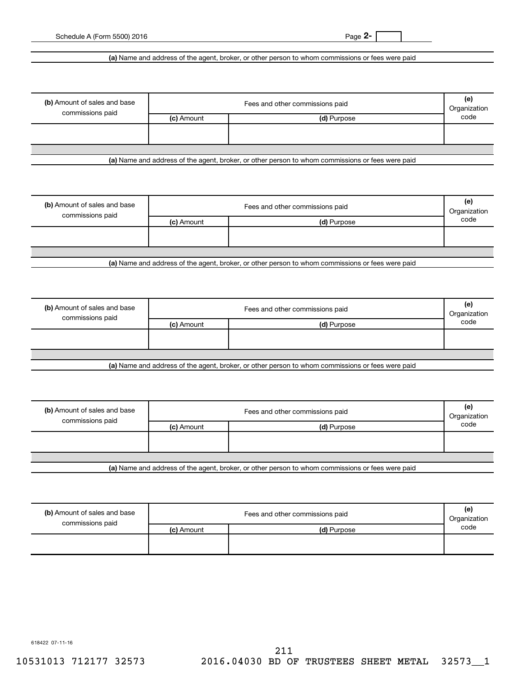**2-**

Schedule A (Form 5500) 2016

**(a)**  Name and address of the agent, broker, or other person to whom commissions or fees were paid

| (b) Amount of sales and base<br>commissions paid | Fees and other commissions paid<br>Organization |             |      |  |  |
|--------------------------------------------------|-------------------------------------------------|-------------|------|--|--|
|                                                  | (c) Amount                                      | (d) Purpose | code |  |  |
|                                                  |                                                 |             |      |  |  |
|                                                  |                                                 |             |      |  |  |
|                                                  |                                                 |             |      |  |  |

**(a)**  Name and address of the agent, broker, or other person to whom commissions or fees were paid

| (b) Amount of sales and base<br>commissions paid | Fees and other commissions paid |             |      |  |  |
|--------------------------------------------------|---------------------------------|-------------|------|--|--|
|                                                  | (c) Amount                      | (d) Purpose | code |  |  |
|                                                  |                                 |             |      |  |  |
|                                                  |                                 |             |      |  |  |
|                                                  |                                 |             |      |  |  |

**(a)**  Name and address of the agent, broker, or other person to whom commissions or fees were paid

| (b) Amount of sales and base<br>commissions paid | Fees and other commissions paid |                                                                                                  |      |  |  |
|--------------------------------------------------|---------------------------------|--------------------------------------------------------------------------------------------------|------|--|--|
|                                                  | (c) Amount                      | (d) Purpose                                                                                      | code |  |  |
|                                                  |                                 |                                                                                                  |      |  |  |
|                                                  |                                 |                                                                                                  |      |  |  |
|                                                  |                                 |                                                                                                  |      |  |  |
|                                                  |                                 | Let Name and address of the sample broker, as other person to whom commissions or fees were poid |      |  |  |

**(a)**  Name and address of the agent, broker, or other person to whom commissions or fees were paid

| (b) Amount of sales and base<br>commissions paid | Fees and other commissions paid |             |      |  |  |
|--------------------------------------------------|---------------------------------|-------------|------|--|--|
|                                                  | (c) Amount                      | (d) Purpose | code |  |  |
|                                                  |                                 |             |      |  |  |
|                                                  |                                 |             |      |  |  |
|                                                  |                                 |             |      |  |  |
| .                                                |                                 | ______      |      |  |  |

**(a)**  Name and address of the agent, broker, or other person to whom commissions or fees were paid

| (b) Amount of sales and base<br>commissions paid | Fees and other commissions paid<br>Organization |             |      |  |
|--------------------------------------------------|-------------------------------------------------|-------------|------|--|
|                                                  | (c) Amount                                      | (d) Purpose | code |  |
|                                                  |                                                 |             |      |  |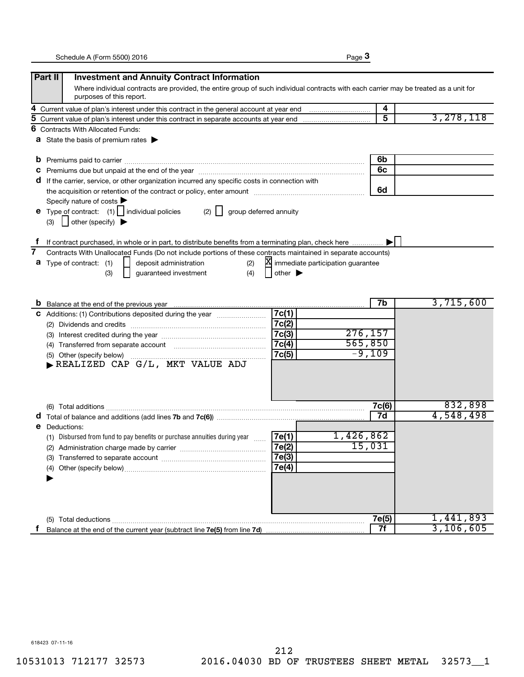|--|--|

|    | Part II<br><b>Investment and Annuity Contract Information</b>                                                                         |                                     |       |           |
|----|---------------------------------------------------------------------------------------------------------------------------------------|-------------------------------------|-------|-----------|
|    | Where individual contracts are provided, the entire group of such individual contracts with each carrier may be treated as a unit for |                                     |       |           |
|    | purposes of this report.                                                                                                              |                                     |       |           |
| 4  |                                                                                                                                       |                                     | 4     |           |
| 5  |                                                                                                                                       |                                     | 5     | 3,278,118 |
| 6  | <b>Contracts With Allocated Funds:</b>                                                                                                |                                     |       |           |
|    | <b>a</b> State the basis of premium rates $\blacktriangleright$                                                                       |                                     |       |           |
|    |                                                                                                                                       |                                     |       |           |
| b  |                                                                                                                                       |                                     | 6b    |           |
|    |                                                                                                                                       |                                     | 6c    |           |
| a  | If the carrier, service, or other organization incurred any specific costs in connection with                                         |                                     |       |           |
|    |                                                                                                                                       |                                     | 6d    |           |
|    | Specify nature of costs                                                                                                               |                                     |       |           |
|    | <b>e</b> Type of contract: $(1)$   individual policies<br>$(2)$    <br>group deferred annuity                                         |                                     |       |           |
|    | $\vert$ other (specify) $\blacktriangleright$<br>(3)                                                                                  |                                     |       |           |
|    |                                                                                                                                       |                                     |       |           |
|    | If contract purchased, in whole or in part, to distribute benefits from a terminating plan, check here                                |                                     |       |           |
| 7  | Contracts With Unallocated Funds (Do not include portions of these contracts maintained in separate accounts)                         |                                     |       |           |
|    | deposit administration<br><b>a</b> Type of contract: (1)<br>(2)                                                                       | X immediate participation guarantee |       |           |
|    | (4)<br>(3)<br>guaranteed investment<br>other $\blacktriangleright$                                                                    |                                     |       |           |
|    |                                                                                                                                       |                                     |       |           |
|    |                                                                                                                                       |                                     | 7b    | 3,715,600 |
|    | 7c(1)<br>C Additions: (1) Contributions deposited during the year                                                                     |                                     |       |           |
|    | 7c(2)                                                                                                                                 |                                     |       |           |
|    | 7c(3)                                                                                                                                 | 276,157                             |       |           |
|    | 7c(4)                                                                                                                                 | 565,850                             |       |           |
|    | 7c(5)                                                                                                                                 | $-9,109$                            |       |           |
|    | REALIZED CAP G/L, MKT VALUE ADJ                                                                                                       |                                     |       |           |
|    |                                                                                                                                       |                                     |       |           |
|    |                                                                                                                                       |                                     |       |           |
|    |                                                                                                                                       |                                     |       |           |
|    |                                                                                                                                       |                                     | 7c(6) | 832,898   |
|    |                                                                                                                                       |                                     | 7d    | 4,548,498 |
| е  | Deductions:                                                                                                                           |                                     |       |           |
|    | (1) Disbursed from fund to pay benefits or purchase annuities during year<br>7e(1)                                                    | 1,426,862                           |       |           |
|    | 7e(2)<br>(2) Administration charge made by carrier                                                                                    | 15,031                              |       |           |
|    | 7e(3)                                                                                                                                 |                                     |       |           |
|    | 7e(4)                                                                                                                                 |                                     |       |           |
|    |                                                                                                                                       |                                     |       |           |
|    |                                                                                                                                       |                                     |       |           |
|    |                                                                                                                                       |                                     |       |           |
|    |                                                                                                                                       |                                     |       |           |
|    |                                                                                                                                       |                                     | 7e(5) | 1,441,893 |
| Ť. |                                                                                                                                       |                                     | 7f    | 3,106,605 |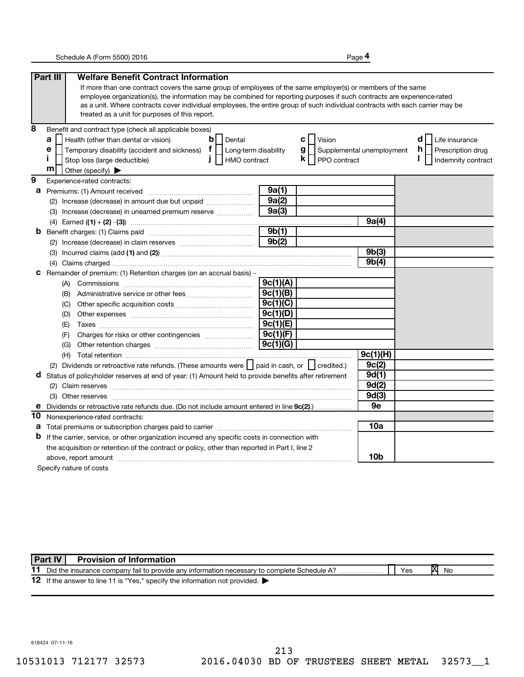**4**

|                | Part III<br><b>Welfare Benefit Contract Information</b>                                                                                                                                                                                                  |          |                                  |             |                          |
|----------------|----------------------------------------------------------------------------------------------------------------------------------------------------------------------------------------------------------------------------------------------------------|----------|----------------------------------|-------------|--------------------------|
|                | If more than one contract covers the same group of employees of the same employer(s) or members of the same                                                                                                                                              |          |                                  |             |                          |
|                | employee organization(s), the information may be combined for reporting purposes if such contracts are experience-rated                                                                                                                                  |          |                                  |             |                          |
|                | as a unit. Where contracts cover individual employees, the entire group of such individual contracts with each carrier may be                                                                                                                            |          |                                  |             |                          |
|                | treated as a unit for purposes of this report.                                                                                                                                                                                                           |          |                                  |             |                          |
| 8              | Benefit and contract type (check all applicable boxes)                                                                                                                                                                                                   |          |                                  |             |                          |
|                | $\mathbf b$<br>a<br>Health (other than dental or vision)<br>Dental                                                                                                                                                                                       |          | c l<br>Vision                    |             | d<br>Life insurance      |
|                | Temporary disability (accident and sickness) $\mathbf{f}$   Long-term disability<br>е                                                                                                                                                                    |          | g  <br>Supplemental unemployment |             | h.<br>Prescription drug  |
|                | Î.<br>$\mathbf{I}$<br>HMO contract<br>Stop loss (large deductible)                                                                                                                                                                                       |          | $\mathsf{k}$     PPO contract    |             | I.<br>Indemnity contract |
|                | m<br>Other (specify)                                                                                                                                                                                                                                     |          |                                  |             |                          |
| $\overline{9}$ | Experience-rated contracts:                                                                                                                                                                                                                              |          |                                  |             |                          |
| а              | Premiums: (1) Amount received                                                                                                                                                                                                                            | 9a(1)    |                                  |             |                          |
|                | (2) Increase (decrease) in amount due but unpaid <i></i>                                                                                                                                                                                                 | 9a(2)    |                                  |             |                          |
|                | (3) Increase (decrease) in unearned premium reserve                                                                                                                                                                                                      | 9a(3)    |                                  |             |                          |
|                |                                                                                                                                                                                                                                                          |          |                                  | 9a(4)       |                          |
| b              |                                                                                                                                                                                                                                                          | 9b(1)    |                                  |             |                          |
|                |                                                                                                                                                                                                                                                          | 9b(2)    |                                  |             |                          |
|                |                                                                                                                                                                                                                                                          |          |                                  | 9b(3)       |                          |
|                |                                                                                                                                                                                                                                                          |          |                                  | 9b(4)       |                          |
| с              | Remainder of premium: (1) Retention charges (on an accrual basis) -                                                                                                                                                                                      |          |                                  |             |                          |
|                |                                                                                                                                                                                                                                                          | 9c(1)(A) |                                  |             |                          |
|                | (B)                                                                                                                                                                                                                                                      | 9c(1)(B) |                                  |             |                          |
|                | (C)                                                                                                                                                                                                                                                      | 9c(1)(C) |                                  |             |                          |
|                | (D)                                                                                                                                                                                                                                                      | 9c(1)(D) |                                  |             |                          |
|                | (E)                                                                                                                                                                                                                                                      | 9c(1)(E) |                                  |             |                          |
|                | (F)                                                                                                                                                                                                                                                      | 9c(1)(F) |                                  |             |                          |
|                | (G)                                                                                                                                                                                                                                                      | 9c(1)(G) |                                  |             |                          |
|                |                                                                                                                                                                                                                                                          |          |                                  | 9c(1)(H)    |                          |
|                | (2) Dividends or retroactive rate refunds. (These amounts were     paid in cash, or     credited.)                                                                                                                                                       |          |                                  | 9c(2)       |                          |
| d              | Status of policyholder reserves at end of year: (1) Amount held to provide benefits after retirement                                                                                                                                                     |          |                                  | 9d(1)       |                          |
|                |                                                                                                                                                                                                                                                          |          |                                  | 9d(2)       |                          |
|                |                                                                                                                                                                                                                                                          |          |                                  | 9d(3)<br>9e |                          |
| е              | Dividends or retroactive rate refunds due. (Do not include amount entered in line 9c(2)                                                                                                                                                                  |          |                                  |             |                          |
| 10             | Nonexperience-rated contracts:                                                                                                                                                                                                                           |          |                                  | 10a         |                          |
| а<br>b         |                                                                                                                                                                                                                                                          |          |                                  |             |                          |
|                | If the carrier, service, or other organization incurred any specific costs in connection with                                                                                                                                                            |          |                                  |             |                          |
|                | the acquisition or retention of the contract or policy, other than reported in Part I, line 2                                                                                                                                                            |          |                                  | 10b         |                          |
|                | above, report amount material content and content and content and content and content and content and content and content and content and content and content and content and content and content and content and content and<br>Specify nature of costs |          |                                  |             |                          |
|                |                                                                                                                                                                                                                                                          |          |                                  |             |                          |

|    | Part IV | <b>Provision of Information</b>                                                             |     |    |    |
|----|---------|---------------------------------------------------------------------------------------------|-----|----|----|
|    |         | Did the insurance company fail to provide any information necessary to complete Schedule A? | Yes | IΧ | No |
| 12 |         | If the answer to line 11 is "Yes," specify the information not provided.                    |     |    |    |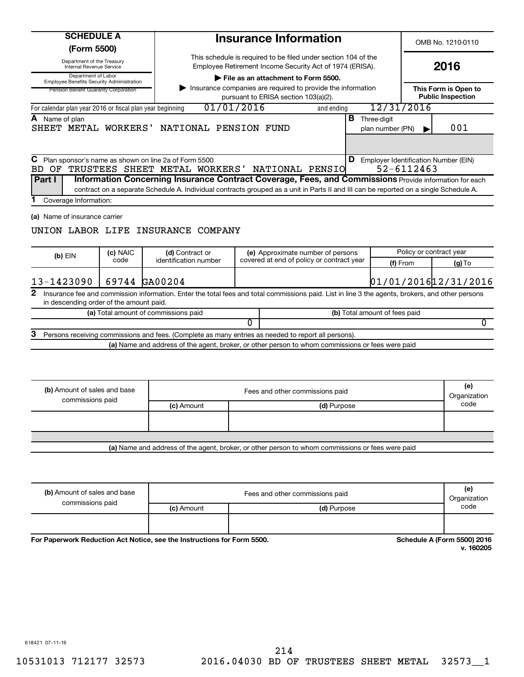| <b>SCHEDULE A</b><br>(Form 5500)                                                                         |                  |                                                                                                                                                                                                                                                                                        | <b>Insurance Information</b>                                                                                               |                                                                                |                                                             | OMB No. 1210-0110                                |  |
|----------------------------------------------------------------------------------------------------------|------------------|----------------------------------------------------------------------------------------------------------------------------------------------------------------------------------------------------------------------------------------------------------------------------------------|----------------------------------------------------------------------------------------------------------------------------|--------------------------------------------------------------------------------|-------------------------------------------------------------|--------------------------------------------------|--|
| Department of the Treasury<br>Internal Revenue Service                                                   |                  |                                                                                                                                                                                                                                                                                        | This schedule is required to be filed under section 104 of the<br>Employee Retirement Income Security Act of 1974 (ERISA). |                                                                                |                                                             | 2016                                             |  |
| Department of Labor<br>Employee Benefits Security Administration<br>Pension Benefit Guaranty Corporation |                  |                                                                                                                                                                                                                                                                                        | File as an attachment to Form 5500.<br>pursuant to ERISA section 103(a)(2).                                                | Insurance companies are required to provide the information                    |                                                             | This Form is Open to<br><b>Public Inspection</b> |  |
| For calendar plan year 2016 or fiscal plan year beginning                                                |                  |                                                                                                                                                                                                                                                                                        | 01/01/2016                                                                                                                 | and ending                                                                     | 12/31/2016                                                  |                                                  |  |
| A Name of plan                                                                                           |                  | SHEET METAL WORKERS' NATIONAL PENSION FUND                                                                                                                                                                                                                                             |                                                                                                                            | В                                                                              | Three-digit<br>plan number (PN)                             | 001                                              |  |
| C Plan sponsor's name as shown on line 2a of Form 5500<br>Part I<br>Coverage Information:                |                  | BD OF TRUSTEES SHEET METAL WORKERS'<br>Information Concerning Insurance Contract Coverage, Fees, and Commissions Provide information for each<br>contract on a separate Schedule A. Individual contracts grouped as a unit in Parts II and III can be reported on a single Schedule A. | NATIONAL PENSIO                                                                                                            |                                                                                | <b>D</b> Employer Identification Number (EIN)<br>52-6112463 |                                                  |  |
| (a) Name of insurance carrier                                                                            |                  | UNION LABOR LIFE INSURANCE COMPANY                                                                                                                                                                                                                                                     |                                                                                                                            |                                                                                |                                                             |                                                  |  |
| $(b)$ EIN                                                                                                | (c) NAIC<br>code | (d) Contract or<br>identification number                                                                                                                                                                                                                                               |                                                                                                                            | (e) Approximate number of persons<br>covered at end of policy or contract year |                                                             | Policy or contract year                          |  |
|                                                                                                          |                  | 69744 GA00204                                                                                                                                                                                                                                                                          |                                                                                                                            |                                                                                | (f) From<br>01/01/2016 12/31/2016                           | $(g)$ To                                         |  |
|                                                                                                          |                  |                                                                                                                                                                                                                                                                                        |                                                                                                                            |                                                                                |                                                             |                                                  |  |
| in descending order of the amount paid.                                                                  |                  | Insurance fee and commission information. Enter the total fees and total commissions paid. List in line 3 the agents, brokers, and other persons                                                                                                                                       |                                                                                                                            |                                                                                |                                                             |                                                  |  |
|                                                                                                          |                  | (a) Total amount of commissions paid                                                                                                                                                                                                                                                   |                                                                                                                            |                                                                                | (b) Total amount of fees paid                               |                                                  |  |
|                                                                                                          |                  |                                                                                                                                                                                                                                                                                        | 0                                                                                                                          |                                                                                |                                                             | 0                                                |  |
| 13-1423090<br>2<br>З                                                                                     |                  | Persons receiving commissions and fees. (Complete as many entries as needed to report all persons).<br>(a) Name and address of the agent, broker, or other person to whom commissions or fees were paid                                                                                |                                                                                                                            |                                                                                |                                                             |                                                  |  |
|                                                                                                          |                  |                                                                                                                                                                                                                                                                                        |                                                                                                                            |                                                                                |                                                             |                                                  |  |
| (b) Amount of sales and base                                                                             |                  |                                                                                                                                                                                                                                                                                        | Fees and other commissions paid                                                                                            |                                                                                |                                                             | (e)<br>Organization                              |  |
| commissions paid                                                                                         |                  | (c) Amount                                                                                                                                                                                                                                                                             |                                                                                                                            | (d) Purpose                                                                    |                                                             | code                                             |  |

| .                            | .          | ------<br>----                  | ---------           |
|------------------------------|------------|---------------------------------|---------------------|
|                              |            |                                 |                     |
| commissions paid             | (c) Amount | (d) Purpose                     | code                |
| (b) Amount of sales and base |            | Fees and other commissions paid | (e)<br>Organization |

For Paperwork Reduction Act Notice, see the Instructions for Form 5500.

**Schedule A (Form 5500) 2016**<br>v. 160205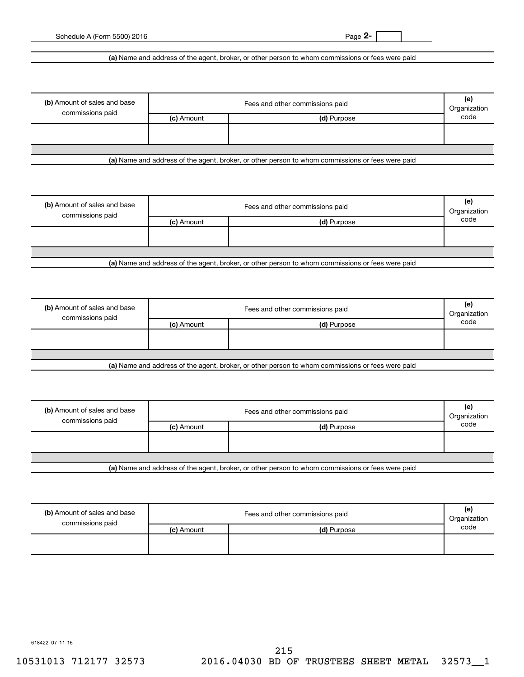**2-**

Schedule A (Form 5500) 2016

**(a)**  Name and address of the agent, broker, or other person to whom commissions or fees were paid

| (b) Amount of sales and base<br>commissions paid |            | Fees and other commissions paid | (e)<br>Organization |
|--------------------------------------------------|------------|---------------------------------|---------------------|
|                                                  | (c) Amount | (d) Purpose                     | code                |
|                                                  |            |                                 |                     |
|                                                  |            |                                 |                     |
|                                                  |            |                                 |                     |

**(a)**  Name and address of the agent, broker, or other person to whom commissions or fees were paid

|            | Fees and other commissions paid | (e)<br>Organization |
|------------|---------------------------------|---------------------|
| (c) Amount | (d) Purpose                     | code                |
|            |                                 |                     |
|            |                                 |                     |
|            |                                 |                     |
|            |                                 |                     |

**(a)**  Name and address of the agent, broker, or other person to whom commissions or fees were paid

| (b) Amount of sales and base |            | Fees and other commissions paid                                                                  | (e)<br>Organization |
|------------------------------|------------|--------------------------------------------------------------------------------------------------|---------------------|
| commissions paid             | (c) Amount | (d) Purpose                                                                                      | code                |
|                              |            |                                                                                                  |                     |
|                              |            |                                                                                                  |                     |
|                              |            |                                                                                                  |                     |
|                              |            | Let Name and address of the sample broker, as other person to whom commissions or fees were poid |                     |

**(a)**  Name and address of the agent, broker, or other person to whom commissions or fees were paid

| (b) Amount of sales and base<br>commissions paid |            | Fees and other commissions paid | (e)<br>Organization |
|--------------------------------------------------|------------|---------------------------------|---------------------|
|                                                  | (c) Amount | (d) Purpose                     | code                |
|                                                  |            |                                 |                     |
|                                                  |            |                                 |                     |
|                                                  |            |                                 |                     |
| .                                                |            | ____<br>.<br>______             |                     |

**(a)**  Name and address of the agent, broker, or other person to whom commissions or fees were paid

| (b) Amount of sales and base<br>commissions paid |            | Fees and other commissions paid | (e)<br>Organization |
|--------------------------------------------------|------------|---------------------------------|---------------------|
|                                                  | (c) Amount | (d) Purpose                     | code                |
|                                                  |            |                                 |                     |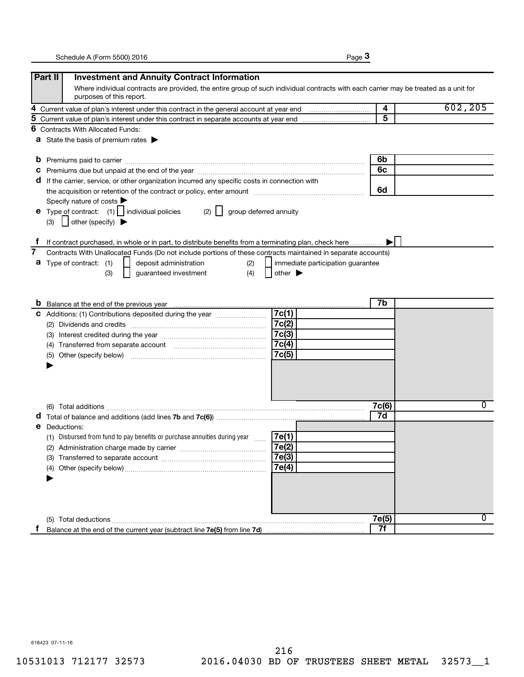|--|--|

|   | Part II<br><b>Investment and Annuity Contract Information</b>                                                                                                     |                         |          |
|---|-------------------------------------------------------------------------------------------------------------------------------------------------------------------|-------------------------|----------|
|   | Where individual contracts are provided, the entire group of such individual contracts with each carrier may be treated as a unit for<br>purposes of this report. |                         |          |
| 4 |                                                                                                                                                                   | $\overline{\mathbf{4}}$ | 602, 205 |
| 5 |                                                                                                                                                                   | $\overline{5}$          |          |
| 6 | <b>Contracts With Allocated Funds:</b>                                                                                                                            |                         |          |
|   | <b>a</b> State the basis of premium rates $\blacktriangleright$                                                                                                   |                         |          |
|   |                                                                                                                                                                   | 6b                      |          |
| C |                                                                                                                                                                   | 6c                      |          |
|   | d If the carrier, service, or other organization incurred any specific costs in connection with                                                                   |                         |          |
|   | the acquisition or retention of the contract or policy, enter amount <i>manumerances</i> and the acquisition or retention of the contract or policy, enter amount | 6d                      |          |
|   | Specify nature of costs                                                                                                                                           |                         |          |
|   | <b>e</b> Type of contract: $(1)$   individual policies<br>$(2)$    <br>group deferred annuity                                                                     |                         |          |
|   | $\vert$ other (specify) $\blacktriangleright$<br>(3)                                                                                                              |                         |          |
|   |                                                                                                                                                                   |                         |          |
|   | If contract purchased, in whole or in part, to distribute benefits from a terminating plan, check here                                                            |                         |          |
| 7 | Contracts With Unallocated Funds (Do not include portions of these contracts maintained in separate accounts)                                                     |                         |          |
| а | Type of contract: (1)<br>deposit administration<br>(2)<br>immediate participation guarantee                                                                       |                         |          |
|   | (4)<br>guaranteed investment<br>other $\blacktriangleright$<br>(3)                                                                                                |                         |          |
|   |                                                                                                                                                                   |                         |          |
|   |                                                                                                                                                                   |                         |          |
|   |                                                                                                                                                                   | 7b                      |          |
|   | 7c(1)<br>C Additions: (1) Contributions deposited during the year <i>manummann</i>                                                                                |                         |          |
|   | 7c(2)                                                                                                                                                             |                         |          |
|   | 7c(3)                                                                                                                                                             |                         |          |
|   | 7c(4)<br>(4)                                                                                                                                                      |                         |          |
|   | 7c(5)<br>(5)                                                                                                                                                      |                         |          |
|   |                                                                                                                                                                   |                         |          |
|   |                                                                                                                                                                   |                         |          |
|   |                                                                                                                                                                   |                         |          |
|   |                                                                                                                                                                   |                         | 0        |
|   |                                                                                                                                                                   | 7c(6)<br>7d             |          |
|   |                                                                                                                                                                   |                         |          |
| е | Deductions:                                                                                                                                                       |                         |          |
|   | (1) Disbursed from fund to pay benefits or purchase annuities during year<br>7e(1)<br>7e(2)                                                                       |                         |          |
|   | (2) Administration charge made by carrier                                                                                                                         |                         |          |
|   | 7e(3)                                                                                                                                                             |                         |          |
|   | 7e(4)                                                                                                                                                             |                         |          |
|   |                                                                                                                                                                   |                         |          |
|   |                                                                                                                                                                   |                         |          |
|   |                                                                                                                                                                   |                         |          |
|   |                                                                                                                                                                   | 7e(5)                   | $\Omega$ |
|   |                                                                                                                                                                   | 7f                      |          |
|   |                                                                                                                                                                   |                         |          |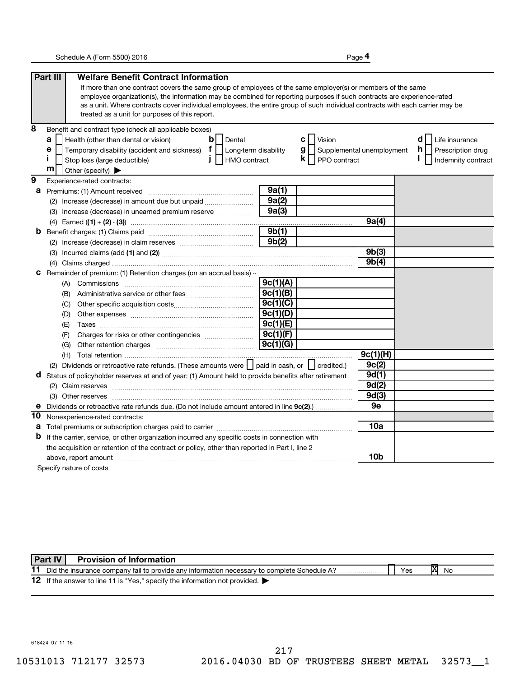**4**

|                | Part III<br><b>Welfare Benefit Contract Information</b>                                                                                                                                                                                                  |          |                                  |             |                          |
|----------------|----------------------------------------------------------------------------------------------------------------------------------------------------------------------------------------------------------------------------------------------------------|----------|----------------------------------|-------------|--------------------------|
|                | If more than one contract covers the same group of employees of the same employer(s) or members of the same                                                                                                                                              |          |                                  |             |                          |
|                | employee organization(s), the information may be combined for reporting purposes if such contracts are experience-rated                                                                                                                                  |          |                                  |             |                          |
|                | as a unit. Where contracts cover individual employees, the entire group of such individual contracts with each carrier may be                                                                                                                            |          |                                  |             |                          |
|                | treated as a unit for purposes of this report.                                                                                                                                                                                                           |          |                                  |             |                          |
| 8              | Benefit and contract type (check all applicable boxes)                                                                                                                                                                                                   |          |                                  |             |                          |
|                | $\mathbf b$<br>a<br>Health (other than dental or vision)<br>Dental                                                                                                                                                                                       |          | c l<br>Vision                    |             | d<br>Life insurance      |
|                | Temporary disability (accident and sickness) $\mathbf{f}$   Long-term disability<br>е                                                                                                                                                                    |          | g  <br>Supplemental unemployment |             | h.<br>Prescription drug  |
|                | Î.<br>$\mathbf{I}$<br>HMO contract<br>Stop loss (large deductible)                                                                                                                                                                                       |          | $\mathsf{k}$     PPO contract    |             | I.<br>Indemnity contract |
|                | m<br>Other (specify)                                                                                                                                                                                                                                     |          |                                  |             |                          |
| $\overline{9}$ | Experience-rated contracts:                                                                                                                                                                                                                              |          |                                  |             |                          |
| а              | Premiums: (1) Amount received                                                                                                                                                                                                                            | 9a(1)    |                                  |             |                          |
|                | (2) Increase (decrease) in amount due but unpaid <i></i>                                                                                                                                                                                                 | 9a(2)    |                                  |             |                          |
|                | (3) Increase (decrease) in unearned premium reserve                                                                                                                                                                                                      | 9a(3)    |                                  |             |                          |
|                |                                                                                                                                                                                                                                                          |          |                                  | 9a(4)       |                          |
| b              |                                                                                                                                                                                                                                                          | 9b(1)    |                                  |             |                          |
|                |                                                                                                                                                                                                                                                          | 9b(2)    |                                  |             |                          |
|                |                                                                                                                                                                                                                                                          |          |                                  | 9b(3)       |                          |
|                |                                                                                                                                                                                                                                                          |          |                                  | 9b(4)       |                          |
| с              | Remainder of premium: (1) Retention charges (on an accrual basis) -                                                                                                                                                                                      |          |                                  |             |                          |
|                |                                                                                                                                                                                                                                                          | 9c(1)(A) |                                  |             |                          |
|                | (B)                                                                                                                                                                                                                                                      | 9c(1)(B) |                                  |             |                          |
|                | (C)                                                                                                                                                                                                                                                      | 9c(1)(C) |                                  |             |                          |
|                | (D)                                                                                                                                                                                                                                                      | 9c(1)(D) |                                  |             |                          |
|                | (E)                                                                                                                                                                                                                                                      | 9c(1)(E) |                                  |             |                          |
|                | (F)                                                                                                                                                                                                                                                      | 9c(1)(F) |                                  |             |                          |
|                | (G)                                                                                                                                                                                                                                                      | 9c(1)(G) |                                  |             |                          |
|                |                                                                                                                                                                                                                                                          |          |                                  | 9c(1)(H)    |                          |
|                | (2) Dividends or retroactive rate refunds. (These amounts were     paid in cash, or     credited.)                                                                                                                                                       |          |                                  | 9c(2)       |                          |
| d              | Status of policyholder reserves at end of year: (1) Amount held to provide benefits after retirement                                                                                                                                                     |          |                                  | 9d(1)       |                          |
|                |                                                                                                                                                                                                                                                          |          |                                  | 9d(2)       |                          |
|                |                                                                                                                                                                                                                                                          |          |                                  | 9d(3)<br>9e |                          |
| е              | Dividends or retroactive rate refunds due. (Do not include amount entered in line 9c(2)                                                                                                                                                                  |          |                                  |             |                          |
| 10             | Nonexperience-rated contracts:                                                                                                                                                                                                                           |          |                                  | 10a         |                          |
| а<br>b         |                                                                                                                                                                                                                                                          |          |                                  |             |                          |
|                | If the carrier, service, or other organization incurred any specific costs in connection with                                                                                                                                                            |          |                                  |             |                          |
|                | the acquisition or retention of the contract or policy, other than reported in Part I, line 2                                                                                                                                                            |          |                                  | 10b         |                          |
|                | above, report amount material content and content and content and content and content and content and content and content and content and content and content and content and content and content and content and content and<br>Specify nature of costs |          |                                  |             |                          |
|                |                                                                                                                                                                                                                                                          |          |                                  |             |                          |

|    | Part IV<br><b>Provision of Information</b>                                                  |     |   |    |
|----|---------------------------------------------------------------------------------------------|-----|---|----|
| 11 | Did the insurance company fail to provide any information necessary to complete Schedule A? | Yes | M | No |
|    | 12 If the answer to line 11 is "Yes," specify the information not provided.                 |     |   |    |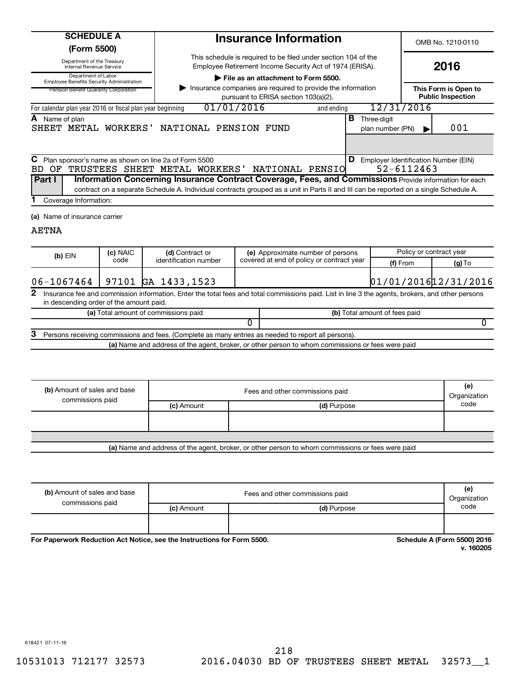**(Form 5500)**

Department of the Treasury Internal Revenue Service

Department of Labor Employee Benefits Security Administration

n Benefit Guaranty Corporatio

| Administration |  |
|----------------|--|
|                |  |

OMB No. 1210-0110

| Employee Retirement Income Security Act of 1974 (ERISA). |
|----------------------------------------------------------|
| File as an attachment to Form 5500.                      |

This schedule is required to be filed under section 104 of the

**Insurance Information**

| Pension Benefit Guaranty Corporation                      | Insurance companies are required to provide the information<br>pursuant to ERISA section 103(a)(2). |            | This Form is Open to<br><b>Public Inspection</b> |     |
|-----------------------------------------------------------|-----------------------------------------------------------------------------------------------------|------------|--------------------------------------------------|-----|
| For calendar plan year 2016 or fiscal plan year beginning | 01/01/2016                                                                                          | and ending | 12/31/2016                                       |     |
| <b>A</b> Name of plan                                     | SHEET METAL WORKERS' NATIONAL PENSION FUND                                                          |            | Three-digit<br>D<br>plan number (PN)             | 001 |
|                                                           |                                                                                                     |            |                                                  |     |

| C Plan sponsor's name as shown on line 2a of Form 5500<br>$\vert \mathbf{D} \vert$ Employer Identification Number (EIN) |                                                     |  |  |  |  |  |  |                                                                                                                                       |
|-------------------------------------------------------------------------------------------------------------------------|-----------------------------------------------------|--|--|--|--|--|--|---------------------------------------------------------------------------------------------------------------------------------------|
|                                                                                                                         | BD OF TRUSTEES SHEET METAL WORKERS' NATIONAL PENSIO |  |  |  |  |  |  | 52-6112463                                                                                                                            |
| Information Concerning Insurance Contract Coverage, Fees, and Commissions Provide information for each<br>Part I        |                                                     |  |  |  |  |  |  |                                                                                                                                       |
|                                                                                                                         |                                                     |  |  |  |  |  |  | contract on a separate Schedule A. Individual contracts grouped as a unit in Parts II and III can be reported on a single Schedule A. |

Coverage Information: **1**

**(a)** Name of insurance carrier

## AETNA

| $(b)$ EIN                                                                                                                                                                                                   |            | (c) NAIC | (d) Contract or                      |                                                       | (e) Approximate number of persons                                                                   | Policy or contract year       |  |  |  |
|-------------------------------------------------------------------------------------------------------------------------------------------------------------------------------------------------------------|------------|----------|--------------------------------------|-------------------------------------------------------|-----------------------------------------------------------------------------------------------------|-------------------------------|--|--|--|
|                                                                                                                                                                                                             |            | code     | identification number                | covered at end of policy or contract year<br>(f) From |                                                                                                     | $(g)$ To                      |  |  |  |
|                                                                                                                                                                                                             |            |          |                                      |                                                       |                                                                                                     |                               |  |  |  |
|                                                                                                                                                                                                             | 06-1067464 |          | 97101 GA 1433,1523                   |                                                       |                                                                                                     | 01/01/2016 12/31/2016         |  |  |  |
| $\mathbf{2}$<br>Insurance fee and commission information. Enter the total fees and total commissions paid. List in line 3 the agents, brokers, and other persons<br>in descending order of the amount paid. |            |          |                                      |                                                       |                                                                                                     |                               |  |  |  |
|                                                                                                                                                                                                             |            |          |                                      |                                                       |                                                                                                     |                               |  |  |  |
|                                                                                                                                                                                                             |            |          | (a) Total amount of commissions paid |                                                       |                                                                                                     | (b) Total amount of fees paid |  |  |  |
|                                                                                                                                                                                                             |            |          |                                      |                                                       |                                                                                                     |                               |  |  |  |
| З                                                                                                                                                                                                           |            |          |                                      |                                                       | Persons receiving commissions and fees. (Complete as many entries as needed to report all persons). |                               |  |  |  |
|                                                                                                                                                                                                             |            |          |                                      |                                                       | (a) Name and address of the agent, broker, or other person to whom commissions or fees were paid    |                               |  |  |  |

| (b) Amount of sales and base<br>commissions paid                                                 |            | Fees and other commissions paid | (e)<br>Organization |  |  |
|--------------------------------------------------------------------------------------------------|------------|---------------------------------|---------------------|--|--|
|                                                                                                  | (c) Amount | (d) Purpose                     | code                |  |  |
|                                                                                                  |            |                                 |                     |  |  |
|                                                                                                  |            |                                 |                     |  |  |
|                                                                                                  |            |                                 |                     |  |  |
| (a) Name and address of the agent, broker, or other person to whom commissions or fees were paid |            |                                 |                     |  |  |

| (b) Amount of sales and base<br>commissions paid |            | Fees and other commissions paid | (e)<br>Organization |
|--------------------------------------------------|------------|---------------------------------|---------------------|
|                                                  | (c) Amount | (d) Purpose                     | code                |
|                                                  |            |                                 |                     |

For Paperwork Reduction Act Notice, see the Instructions for Form 5500. **Schedule A (Form 5500) 2016** Schedule A (Form 5500) 2016

**v. 160205**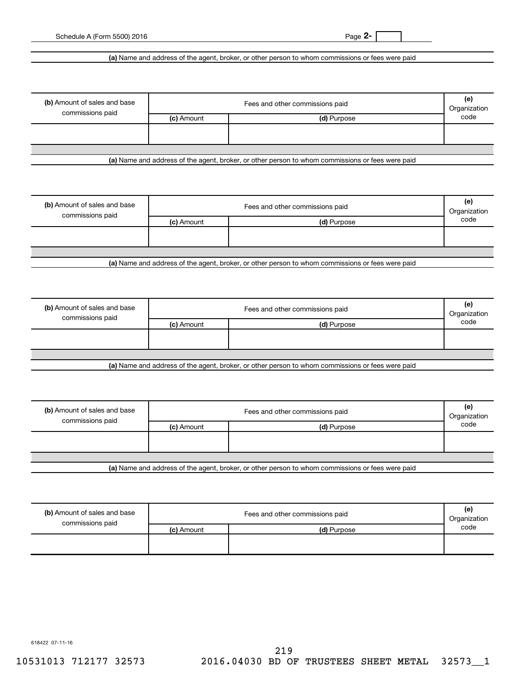**2-**

Schedule A (Form 5500) 2016

**(a)**  Name and address of the agent, broker, or other person to whom commissions or fees were paid

| (b) Amount of sales and base<br>commissions paid |                           | Fees and other commissions paid |      |  |  |
|--------------------------------------------------|---------------------------|---------------------------------|------|--|--|
|                                                  | (c) Amount<br>(d) Purpose |                                 | code |  |  |
|                                                  |                           |                                 |      |  |  |
|                                                  |                           |                                 |      |  |  |
|                                                  |                           |                                 |      |  |  |

**(a)**  Name and address of the agent, broker, or other person to whom commissions or fees were paid

| (b) Amount of sales and base<br>commissions paid | Fees and other commissions paid |             |      |
|--------------------------------------------------|---------------------------------|-------------|------|
|                                                  | (c) Amount                      | (d) Purpose | code |
|                                                  |                                 |             |      |
|                                                  |                                 |             |      |
|                                                  |                                 |             |      |

**(a)**  Name and address of the agent, broker, or other person to whom commissions or fees were paid

| (b) Amount of sales and base<br>commissions paid | Fees and other commissions paid |                                                                                                  |      |
|--------------------------------------------------|---------------------------------|--------------------------------------------------------------------------------------------------|------|
|                                                  | (c) Amount                      | (d) Purpose                                                                                      | code |
|                                                  |                                 |                                                                                                  |      |
|                                                  |                                 |                                                                                                  |      |
|                                                  |                                 |                                                                                                  |      |
|                                                  |                                 | Let Name and address of the sample broker, as other person to whom commissions or fees were poid |      |

**(a)**  Name and address of the agent, broker, or other person to whom commissions or fees were paid

| (b) Amount of sales and base<br>commissions paid | Fees and other commissions paid |             |      |
|--------------------------------------------------|---------------------------------|-------------|------|
|                                                  | (c) Amount                      | (d) Purpose | code |
|                                                  |                                 |             |      |
|                                                  |                                 |             |      |
|                                                  |                                 |             |      |
| .                                                |                                 | ______      |      |

**(a)**  Name and address of the agent, broker, or other person to whom commissions or fees were paid

| (b) Amount of sales and base<br>commissions paid | Fees and other commissions paid<br>Organization |             |      |  |
|--------------------------------------------------|-------------------------------------------------|-------------|------|--|
|                                                  | (c) Amount                                      | (d) Purpose | code |  |
|                                                  |                                                 |             |      |  |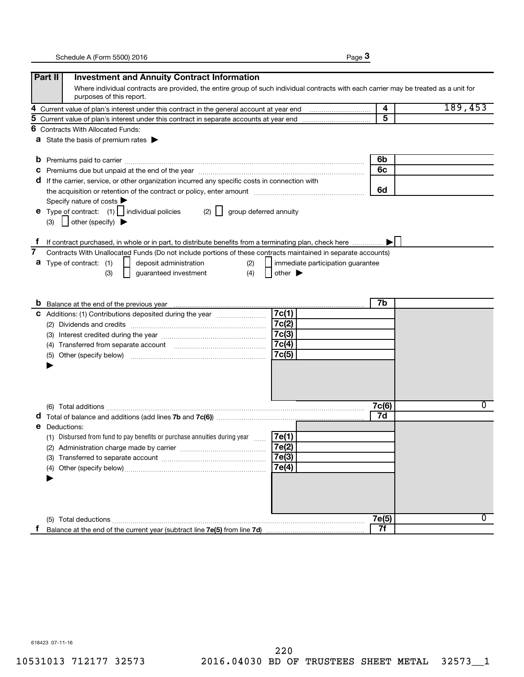|--|--|

|    | Part II<br><b>Investment and Annuity Contract Information</b>                                                                                                                                                                  |                         |         |
|----|--------------------------------------------------------------------------------------------------------------------------------------------------------------------------------------------------------------------------------|-------------------------|---------|
|    | Where individual contracts are provided, the entire group of such individual contracts with each carrier may be treated as a unit for<br>purposes of this report.                                                              |                         |         |
| 4  |                                                                                                                                                                                                                                | $\overline{\mathbf{4}}$ | 189,453 |
| 5  |                                                                                                                                                                                                                                | 5                       |         |
| 6  | <b>Contracts With Allocated Funds:</b>                                                                                                                                                                                         |                         |         |
|    | <b>a</b> State the basis of premium rates $\blacktriangleright$                                                                                                                                                                |                         |         |
| b  |                                                                                                                                                                                                                                | 6b                      |         |
| C  | Premiums due but unpaid at the end of the year manufactured contains and an extraordinary premiums due but unpaid at the end of the year manufactured contains and an extraordinary present of the state of the state of the s | 6с                      |         |
|    | If the carrier, service, or other organization incurred any specific costs in connection with<br>a                                                                                                                             |                         |         |
|    | the acquisition or retention of the contract or policy, enter amount manufactured controller and the acquisition or retention of the contract or policy, enter amount                                                          | 6d                      |         |
|    | Specify nature of costs                                                                                                                                                                                                        |                         |         |
|    | <b>e</b> Type of contract: $(1)$   individual policies<br>(2)<br>group deferred annuity                                                                                                                                        |                         |         |
|    | $\vert$ other (specify) $\blacktriangleright$<br>(3)                                                                                                                                                                           |                         |         |
|    | If contract purchased, in whole or in part, to distribute benefits from a terminating plan, check here                                                                                                                         |                         |         |
| 7  | Contracts With Unallocated Funds (Do not include portions of these contracts maintained in separate accounts)                                                                                                                  |                         |         |
| а  | Type of contract: (1)<br>deposit administration<br>(2)<br>immediate participation guarantee                                                                                                                                    |                         |         |
|    | guaranteed investment<br>(4)<br>(3)<br>other $\blacktriangleright$                                                                                                                                                             |                         |         |
|    |                                                                                                                                                                                                                                |                         |         |
|    |                                                                                                                                                                                                                                |                         |         |
|    |                                                                                                                                                                                                                                | 7b                      |         |
|    | 7c(1)<br>C Additions: (1) Contributions deposited during the year                                                                                                                                                              |                         |         |
|    | 7c(2)                                                                                                                                                                                                                          |                         |         |
|    | 7c(3)                                                                                                                                                                                                                          |                         |         |
|    | 7c(4)                                                                                                                                                                                                                          |                         |         |
|    | 7c(5)<br>(5)                                                                                                                                                                                                                   |                         |         |
|    |                                                                                                                                                                                                                                |                         |         |
|    |                                                                                                                                                                                                                                |                         |         |
|    |                                                                                                                                                                                                                                |                         |         |
|    |                                                                                                                                                                                                                                |                         |         |
|    |                                                                                                                                                                                                                                | 7c(6)                   | 0       |
|    |                                                                                                                                                                                                                                | 7d                      |         |
| е  | Deductions:                                                                                                                                                                                                                    |                         |         |
|    | (1) Disbursed from fund to pay benefits or purchase annuities during year<br>7e(1)<br>$\ldots$                                                                                                                                 |                         |         |
|    | 7e(2)<br>(2) Administration charge made by carrier                                                                                                                                                                             |                         |         |
|    | 7e(3)                                                                                                                                                                                                                          |                         |         |
|    | 7e(4)<br>(4)                                                                                                                                                                                                                   |                         |         |
|    |                                                                                                                                                                                                                                |                         |         |
|    |                                                                                                                                                                                                                                |                         |         |
|    |                                                                                                                                                                                                                                |                         |         |
|    |                                                                                                                                                                                                                                |                         |         |
|    |                                                                                                                                                                                                                                | 7e(5)                   | 0       |
| Ť. |                                                                                                                                                                                                                                | 7f                      |         |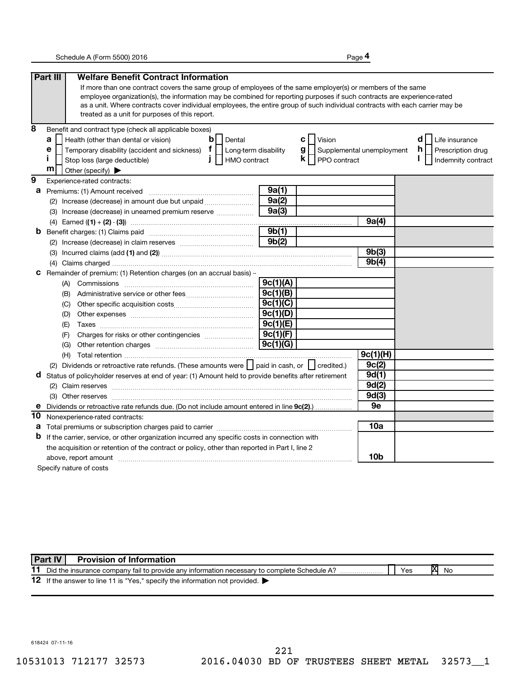**4**

|                | Part III<br><b>Welfare Benefit Contract Information</b>                                                                                                                                                                                                                                                                                                                                                                   |                       |                         |                           |                         |
|----------------|---------------------------------------------------------------------------------------------------------------------------------------------------------------------------------------------------------------------------------------------------------------------------------------------------------------------------------------------------------------------------------------------------------------------------|-----------------------|-------------------------|---------------------------|-------------------------|
|                | If more than one contract covers the same group of employees of the same employer(s) or members of the same<br>employee organization(s), the information may be combined for reporting purposes if such contracts are experience-rated<br>as a unit. Where contracts cover individual employees, the entire group of such individual contracts with each carrier may be<br>treated as a unit for purposes of this report. |                       |                         |                           |                         |
| 8              | Benefit and contract type (check all applicable boxes)                                                                                                                                                                                                                                                                                                                                                                    |                       |                         |                           |                         |
|                | Health (other than dental or vision)<br>b I l<br>Dental<br>a                                                                                                                                                                                                                                                                                                                                                              |                       | Vision<br>c l           |                           | d<br>Life insurance     |
|                | Temporary disability (accident and sickness) $f$<br>е<br>  Long-term disability                                                                                                                                                                                                                                                                                                                                           |                       | g <sub>1</sub>          | Supplemental unemployment | h.<br>Prescription drug |
|                | п<br>Stop loss (large deductible)<br>HMO contract<br>J.                                                                                                                                                                                                                                                                                                                                                                   |                       | $k \mid$   PPO contract |                           | Indemnity contract      |
|                | m<br>Other (specify)                                                                                                                                                                                                                                                                                                                                                                                                      |                       |                         |                           |                         |
| $\overline{9}$ | Experience-rated contracts:                                                                                                                                                                                                                                                                                                                                                                                               |                       |                         |                           |                         |
| а              | Premiums: (1) Amount received                                                                                                                                                                                                                                                                                                                                                                                             | 9a(1)                 |                         |                           |                         |
|                | (2) Increase (decrease) in amount due but unpaid                                                                                                                                                                                                                                                                                                                                                                          | 9a(2)                 |                         |                           |                         |
|                | (3) Increase (decrease) in unearned premium reserve                                                                                                                                                                                                                                                                                                                                                                       | 9a(3)                 |                         |                           |                         |
|                |                                                                                                                                                                                                                                                                                                                                                                                                                           |                       |                         | 9a(4)                     |                         |
| b              |                                                                                                                                                                                                                                                                                                                                                                                                                           | 9b(1)                 |                         |                           |                         |
|                |                                                                                                                                                                                                                                                                                                                                                                                                                           | 9b(2)                 |                         |                           |                         |
|                |                                                                                                                                                                                                                                                                                                                                                                                                                           |                       |                         | 9b(3)                     |                         |
|                |                                                                                                                                                                                                                                                                                                                                                                                                                           |                       |                         | 9b(4)                     |                         |
| с              | Remainder of premium: (1) Retention charges (on an accrual basis) -                                                                                                                                                                                                                                                                                                                                                       |                       |                         |                           |                         |
|                |                                                                                                                                                                                                                                                                                                                                                                                                                           | 9c(1)(A)              |                         |                           |                         |
|                | (B)                                                                                                                                                                                                                                                                                                                                                                                                                       | 9c(1)(B)              |                         |                           |                         |
|                | (C)                                                                                                                                                                                                                                                                                                                                                                                                                       | 9c(1)(C)              |                         |                           |                         |
|                | (D)                                                                                                                                                                                                                                                                                                                                                                                                                       | 9c(1)(D)              |                         |                           |                         |
|                | (E)                                                                                                                                                                                                                                                                                                                                                                                                                       | 9c(1)(E)              |                         |                           |                         |
|                | (F)                                                                                                                                                                                                                                                                                                                                                                                                                       | 9c(1)(F)              |                         |                           |                         |
|                | (G)                                                                                                                                                                                                                                                                                                                                                                                                                       | $\overline{9c(1)(G)}$ |                         |                           |                         |
|                |                                                                                                                                                                                                                                                                                                                                                                                                                           |                       |                         | 9c(1)(H)                  |                         |
|                | (2) Dividends or retroactive rate refunds. (These amounts were   paid in cash, or   credited.)                                                                                                                                                                                                                                                                                                                            |                       |                         | 9c(2)                     |                         |
| d              | Status of policyholder reserves at end of year: (1) Amount held to provide benefits after retirement                                                                                                                                                                                                                                                                                                                      |                       |                         | 9d(1)                     |                         |
|                |                                                                                                                                                                                                                                                                                                                                                                                                                           |                       |                         | 9d(2)                     |                         |
|                |                                                                                                                                                                                                                                                                                                                                                                                                                           |                       |                         | 9d(3)                     |                         |
| е              | Dividends or retroactive rate refunds due. (Do not include amount entered in line 9c(2)                                                                                                                                                                                                                                                                                                                                   |                       |                         | 9e                        |                         |
| 10             | Nonexperience-rated contracts:                                                                                                                                                                                                                                                                                                                                                                                            |                       |                         |                           |                         |
| а              |                                                                                                                                                                                                                                                                                                                                                                                                                           |                       |                         | 10a                       |                         |
| b              | If the carrier, service, or other organization incurred any specific costs in connection with                                                                                                                                                                                                                                                                                                                             |                       |                         |                           |                         |
|                | the acquisition or retention of the contract or policy, other than reported in Part I, line 2                                                                                                                                                                                                                                                                                                                             |                       |                         |                           |                         |
|                | above, report amount                                                                                                                                                                                                                                                                                                                                                                                                      |                       |                         | 10b                       |                         |
|                | Specify nature of costs                                                                                                                                                                                                                                                                                                                                                                                                   |                       |                         |                           |                         |

11 Did the insurance company fail to provide any information necessary to complete Schedule A? 12 If the answer to line 11 is "Yes," specify the information not provided. **X No Part IV Provision of Information**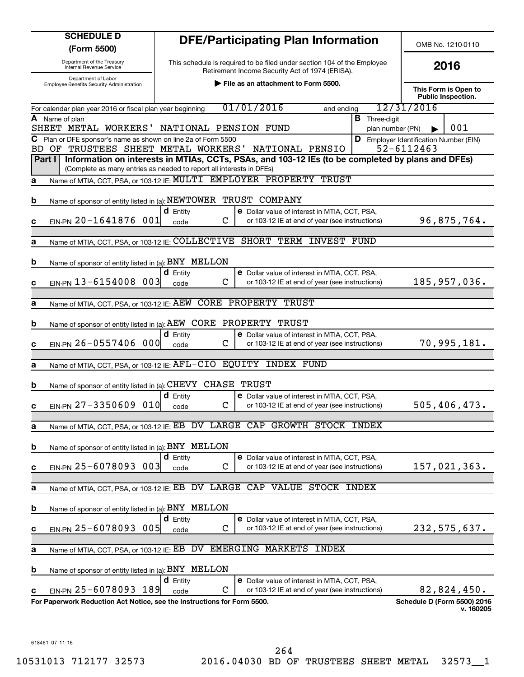| <b>SCHEDULE D</b><br>(Form 5500)                                                                         |                              | <b>DFE/Participating Plan Information</b>                                                              |                                          |                                                    | OMB No. 1210-0110                                 |  |
|----------------------------------------------------------------------------------------------------------|------------------------------|--------------------------------------------------------------------------------------------------------|------------------------------------------|----------------------------------------------------|---------------------------------------------------|--|
| Department of the Treasury<br>Internal Revenue Service                                                   |                              | This schedule is required to be filed under section 104 of the Employee                                |                                          |                                                    | 2016                                              |  |
| Department of Labor                                                                                      |                              | Retirement Income Security Act of 1974 (ERISA).                                                        |                                          |                                                    |                                                   |  |
| Employee Benefits Security Administration                                                                |                              | File as an attachment to Form 5500.                                                                    |                                          |                                                    | This Form is Open to<br><b>Public Inspection.</b> |  |
| For calendar plan year 2016 or fiscal plan year beginning                                                |                              | 01/01/2016<br>and ending                                                                               |                                          | 12/31/2016                                         |                                                   |  |
| A Name of plan<br>SHEET METAL WORKERS'                                                                   | NATIONAL PENSION FUND        |                                                                                                        | <b>B</b> Three-digit<br>plan number (PN) |                                                    | 001                                               |  |
| C Plan or DFE sponsor's name as shown on line 2a of Form 5500<br>OF TRUSTEES SHEET METAL WORKERS'<br>BD. |                              | NATIONAL PENSIO                                                                                        | D                                        | Employer Identification Number (EIN)<br>52-6112463 |                                                   |  |
| Part I<br>(Complete as many entries as needed to report all interests in DFEs)                           |                              | Information on interests in MTIAs, CCTs, PSAs, and 103-12 IEs (to be completed by plans and DFEs)      |                                          |                                                    |                                                   |  |
| а                                                                                                        |                              | Name of MTIA, CCT, PSA, or 103-12 IE: MULTI EMPLOYER PROPERTY TRUST                                    |                                          |                                                    |                                                   |  |
| Name of sponsor of entity listed in (a): NEWTOWER TRUST COMPANY<br>b                                     |                              |                                                                                                        |                                          |                                                    |                                                   |  |
| EIN-PN 20-1641876 001<br>c                                                                               | $d$ Entity<br>C<br>code      | <b>e</b> Dollar value of interest in MTIA, CCT, PSA,<br>or 103-12 IE at end of year (see instructions) |                                          |                                                    | 96,875,764.                                       |  |
|                                                                                                          |                              | Name of MTIA, CCT, PSA, or 103-12 IE: COLLECTIVE SHORT TERM INVEST FUND                                |                                          |                                                    |                                                   |  |
| a                                                                                                        |                              |                                                                                                        |                                          |                                                    |                                                   |  |
| Name of sponsor of entity listed in (a): BNY MELLON<br>b                                                 |                              |                                                                                                        |                                          |                                                    |                                                   |  |
| EIN-PN 13-6154008 003<br>c                                                                               | <b>d</b> Entity<br>C<br>code | <b>e</b> Dollar value of interest in MTIA, CCT, PSA,<br>or 103-12 IE at end of year (see instructions) |                                          |                                                    | 185,957,036.                                      |  |
|                                                                                                          |                              |                                                                                                        |                                          |                                                    |                                                   |  |
| Name of MTIA, CCT, PSA, or 103-12 IE: AEW CORE PROPERTY TRUST<br>a                                       |                              |                                                                                                        |                                          |                                                    |                                                   |  |
| Name of sponsor of entity listed in (a): AEW CORE PROPERTY TRUST<br>b                                    |                              |                                                                                                        |                                          |                                                    |                                                   |  |
| EIN-PN 26-0557406 000<br>c                                                                               | $d$ Entity<br>C<br>code      | <b>e</b> Dollar value of interest in MTIA, CCT, PSA,<br>or 103-12 IE at end of year (see instructions) |                                          |                                                    | 70,995,181.                                       |  |
|                                                                                                          |                              |                                                                                                        |                                          |                                                    |                                                   |  |
| Name of MTIA, CCT, PSA, or 103-12 IE: AFL-CIO EQUITY INDEX FUND<br>a                                     |                              |                                                                                                        |                                          |                                                    |                                                   |  |
| Name of sponsor of entity listed in (a): CHEVY CHASE<br>b                                                |                              | TRUST                                                                                                  |                                          |                                                    |                                                   |  |
|                                                                                                          | <b>d</b> Entity              | <b>e</b> Dollar value of interest in MTIA, CCT, PSA,                                                   |                                          |                                                    |                                                   |  |
| $EINPN$ 27-3350609<br>010<br>c                                                                           | C<br>code                    | or 103-12 IE at end of year (see instructions)                                                         |                                          |                                                    | 505,406,473.                                      |  |
| Name of MTIA, CCT, PSA, or 103-12 IE: EB<br>а                                                            | DV                           | LARGE CAP<br>GROWTH STOCK INDEX                                                                        |                                          |                                                    |                                                   |  |
| Name of sponsor of entity listed in (a): BNY MELLON<br>b                                                 |                              |                                                                                                        |                                          |                                                    |                                                   |  |
|                                                                                                          | $d$ Entity                   | e Dollar value of interest in MTIA, CCT, PSA,                                                          |                                          |                                                    |                                                   |  |
| EIN-PN 25-6078093 003<br>c                                                                               | $\mathbf C$<br>code          | or 103-12 IE at end of year (see instructions)                                                         |                                          |                                                    | 157,021,363.                                      |  |
| Name of MTIA, CCT, PSA, or 103-12 IE: EB<br>а                                                            | DV LARGE CAP                 | VALUE STOCK INDEX                                                                                      |                                          |                                                    |                                                   |  |
| Name of sponsor of entity listed in (a): BNY MELLON<br>b                                                 |                              |                                                                                                        |                                          |                                                    |                                                   |  |
|                                                                                                          | $d$ Entity                   | e Dollar value of interest in MTIA, CCT, PSA,                                                          |                                          |                                                    |                                                   |  |
| EIN-PN 25-6078093 005<br>c                                                                               | C<br>code                    | or 103-12 IE at end of year (see instructions)                                                         |                                          |                                                    | 232,575,637.                                      |  |
| Name of MTIA, CCT, PSA, or 103-12 IE: EB DV EMERGING MARKETS<br>а                                        |                              | <b>INDEX</b>                                                                                           |                                          |                                                    |                                                   |  |
|                                                                                                          |                              |                                                                                                        |                                          |                                                    |                                                   |  |
| Name of sponsor of entity listed in (a): BNY MELLON<br>b                                                 | <b>d</b> Entity              | e Dollar value of interest in MTIA, CCT, PSA,                                                          |                                          |                                                    |                                                   |  |
| EIN-PN 25-6078093 189<br>c                                                                               | С<br>code                    | or 103-12 IE at end of year (see instructions)                                                         |                                          |                                                    | 82,824,450.                                       |  |
| For Paperwork Reduction Act Notice, see the Instructions for Form 5500.                                  |                              |                                                                                                        |                                          |                                                    | Schedule D (Form 5500) 2016<br>v. 160205          |  |
|                                                                                                          |                              |                                                                                                        |                                          |                                                    |                                                   |  |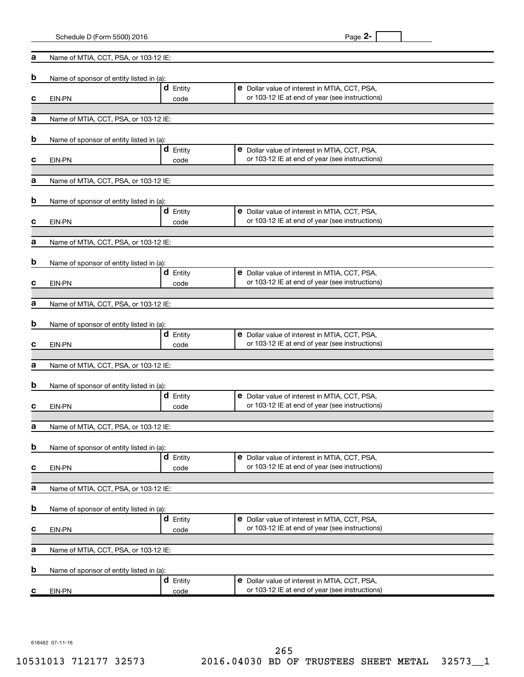|   | Schedule D (Form 5500) 2016              |                         | Page 2-                                                                                                |
|---|------------------------------------------|-------------------------|--------------------------------------------------------------------------------------------------------|
| а | Name of MTIA, CCT, PSA, or 103-12 IE:    |                         |                                                                                                        |
| b | Name of sponsor of entity listed in (a): |                         |                                                                                                        |
|   |                                          | $d$ Entity              | e Dollar value of interest in MTIA, CCT, PSA,                                                          |
| с | EIN-PN                                   | code                    | or 103-12 IE at end of year (see instructions)                                                         |
| а | Name of MTIA, CCT, PSA, or 103-12 IE:    |                         |                                                                                                        |
| b | Name of sponsor of entity listed in (a): |                         |                                                                                                        |
|   |                                          | $d$ Entity              | e Dollar value of interest in MTIA, CCT, PSA,<br>or 103-12 IE at end of year (see instructions)        |
| с | EIN-PN                                   | code                    |                                                                                                        |
| а | Name of MTIA, CCT, PSA, or 103-12 IE:    |                         |                                                                                                        |
| b | Name of sponsor of entity listed in (a): |                         |                                                                                                        |
|   |                                          | $d$ Entity              | e Dollar value of interest in MTIA, CCT, PSA,                                                          |
| с | EIN-PN                                   | code                    | or 103-12 IE at end of year (see instructions)                                                         |
| а | Name of MTIA, CCT, PSA, or 103-12 IE:    |                         |                                                                                                        |
| b | Name of sponsor of entity listed in (a): |                         |                                                                                                        |
|   |                                          | <b>d</b> Entity         | e Dollar value of interest in MTIA, CCT, PSA,<br>or 103-12 IE at end of year (see instructions)        |
| с | EIN-PN                                   | code                    |                                                                                                        |
| а | Name of MTIA, CCT, PSA, or 103-12 IE:    |                         |                                                                                                        |
| b | Name of sponsor of entity listed in (a): |                         |                                                                                                        |
|   |                                          | <b>d</b> Entity         | e Dollar value of interest in MTIA, CCT, PSA,<br>or 103-12 IE at end of year (see instructions)        |
| с | EIN-PN                                   | code                    |                                                                                                        |
| a | Name of MTIA, CCT, PSA, or 103-12 IE:    |                         |                                                                                                        |
| D | Name of sponsor of entity listed in (a): |                         |                                                                                                        |
|   |                                          | <b>d</b> Entity         | e Dollar value of interest in MTIA, CCT, PSA,<br>or 103-12 IE at end of year (see instructions)        |
| с | EIN-PN                                   | code                    |                                                                                                        |
| а | Name of MTIA, CCT, PSA, or 103-12 IE:    |                         |                                                                                                        |
| b | Name of sponsor of entity listed in (a): |                         |                                                                                                        |
| С | EIN-PN                                   | $d$ Entity<br>code      | <b>e</b> Dollar value of interest in MTIA, CCT, PSA,<br>or 103-12 IE at end of year (see instructions) |
|   |                                          |                         |                                                                                                        |
| а | Name of MTIA, CCT, PSA, or 103-12 IE:    |                         |                                                                                                        |
| b | Name of sponsor of entity listed in (a): |                         |                                                                                                        |
| С | EIN-PN                                   | $d$ Entity<br>code      | <b>e</b> Dollar value of interest in MTIA, CCT, PSA,<br>or 103-12 IE at end of year (see instructions) |
|   |                                          |                         |                                                                                                        |
| а | Name of MTIA, CCT, PSA, or 103-12 IE:    |                         |                                                                                                        |
| b | Name of sponsor of entity listed in (a): |                         |                                                                                                        |
| C | EIN-PN                                   | <b>d</b> Entity<br>code | <b>e</b> Dollar value of interest in MTIA, CCT, PSA,<br>or 103-12 IE at end of year (see instructions) |
|   |                                          |                         |                                                                                                        |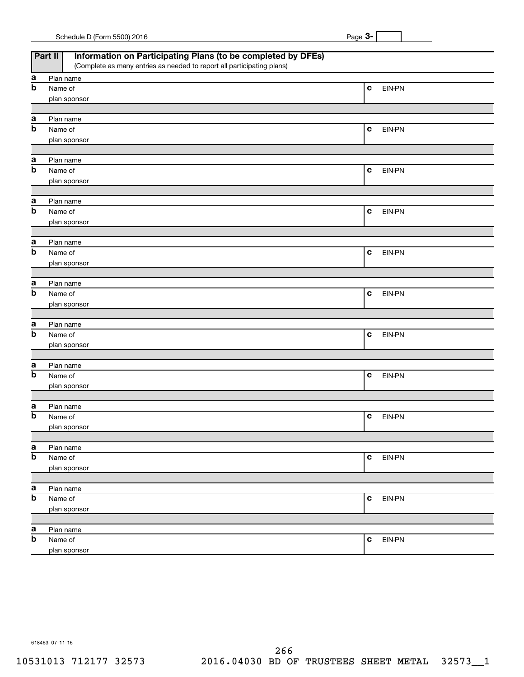| Schedule D (Form 5500) 2016 |  | Page |
|-----------------------------|--|------|
|                             |  |      |

|                                | <b>Part II</b><br>Information on Participating Plans (to be completed by DFEs)<br>(Complete as many entries as needed to report all participating plans) |             |        |
|--------------------------------|----------------------------------------------------------------------------------------------------------------------------------------------------------|-------------|--------|
|                                | Plan name                                                                                                                                                |             |        |
| a<br>$\overline{b}$            | Name of                                                                                                                                                  | $\mathbf c$ | EIN-PN |
|                                | plan sponsor                                                                                                                                             |             |        |
|                                |                                                                                                                                                          |             |        |
| a                              | Plan name                                                                                                                                                |             |        |
| $\overline{b}$                 | Name of                                                                                                                                                  | $\mathbf c$ | EIN-PN |
|                                | plan sponsor                                                                                                                                             |             |        |
|                                |                                                                                                                                                          |             |        |
| a                              | Plan name                                                                                                                                                |             |        |
| $\overline{b}$                 | Name of                                                                                                                                                  | $\mathbf c$ | EIN-PN |
|                                | plan sponsor                                                                                                                                             |             |        |
|                                |                                                                                                                                                          |             |        |
| a                              | Plan name                                                                                                                                                |             |        |
| $\overline{b}$                 | Name of                                                                                                                                                  | $\mathbf c$ | EIN-PN |
|                                | plan sponsor                                                                                                                                             |             |        |
|                                |                                                                                                                                                          |             |        |
| a                              | Plan name                                                                                                                                                |             |        |
| $\boldsymbol{\mathsf{b}}$      | Name of                                                                                                                                                  | $\mathbf c$ | EIN-PN |
|                                | plan sponsor                                                                                                                                             |             |        |
|                                |                                                                                                                                                          |             |        |
| a<br>$\boldsymbol{\mathsf{b}}$ | Plan name<br>Name of                                                                                                                                     | $\mathbf c$ | EIN-PN |
|                                | plan sponsor                                                                                                                                             |             |        |
|                                |                                                                                                                                                          |             |        |
| a                              | Plan name                                                                                                                                                |             |        |
| $\boldsymbol{\mathsf{b}}$      | Name of                                                                                                                                                  | $\mathbf c$ | EIN-PN |
|                                | plan sponsor                                                                                                                                             |             |        |
|                                |                                                                                                                                                          |             |        |
| a                              | Plan name                                                                                                                                                |             |        |
| $\boldsymbol{\mathsf{b}}$      | Name of                                                                                                                                                  | $\mathbf c$ | EIN-PN |
|                                | plan sponsor                                                                                                                                             |             |        |
|                                |                                                                                                                                                          |             |        |
| а                              | Plan name                                                                                                                                                |             |        |
| $\boldsymbol{\mathsf{b}}$      | Name of                                                                                                                                                  | $\mathbf c$ | EIN-PN |
|                                | plan sponsor                                                                                                                                             |             |        |
|                                |                                                                                                                                                          |             |        |
| a                              | Plan name                                                                                                                                                |             |        |
| $\overline{\mathbf{b}}$        | Name of                                                                                                                                                  | C           | EIN-PN |
|                                | plan sponsor                                                                                                                                             |             |        |
|                                |                                                                                                                                                          |             |        |
| a<br>$\boldsymbol{\mathsf{b}}$ | Plan name                                                                                                                                                | $\mathbf c$ |        |
|                                | Name of                                                                                                                                                  |             | EIN-PN |
|                                | plan sponsor                                                                                                                                             |             |        |
| a                              | Plan name                                                                                                                                                |             |        |
| $\boldsymbol{\mathsf{b}}$      | Name of                                                                                                                                                  | C           | EIN-PN |
|                                | plan sponsor                                                                                                                                             |             |        |
|                                |                                                                                                                                                          |             |        |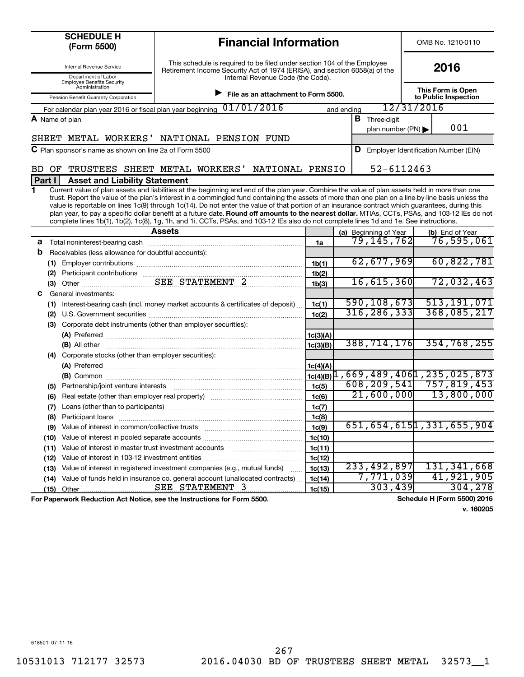| <b>SCHEDULE H</b><br><b>Financial Information</b><br>(Form 5500)                                                                                                                                                                                                                                                                                                                                                                                                                                                                                                                                                                                                                                                                                           |                                          |            |                                      |            | OMB No. 1210-0110                         |                               |         |
|------------------------------------------------------------------------------------------------------------------------------------------------------------------------------------------------------------------------------------------------------------------------------------------------------------------------------------------------------------------------------------------------------------------------------------------------------------------------------------------------------------------------------------------------------------------------------------------------------------------------------------------------------------------------------------------------------------------------------------------------------------|------------------------------------------|------------|--------------------------------------|------------|-------------------------------------------|-------------------------------|---------|
| This schedule is required to be filed under section 104 of the Employee<br>Internal Revenue Service<br>Retirement Income Security Act of 1974 (ERISA), and section 6058(a) of the<br>Department of Labor<br>Internal Revenue Code (the Code).<br><b>Employee Benefits Security</b>                                                                                                                                                                                                                                                                                                                                                                                                                                                                         |                                          | 2016       |                                      |            |                                           |                               |         |
| Administration<br>File as an attachment to Form 5500.<br>Pension Benefit Guaranty Corporation                                                                                                                                                                                                                                                                                                                                                                                                                                                                                                                                                                                                                                                              |                                          |            |                                      |            | This Form is Open<br>to Public Inspection |                               |         |
| 01/01/2016<br>For calendar plan year 2016 or fiscal plan year beginning                                                                                                                                                                                                                                                                                                                                                                                                                                                                                                                                                                                                                                                                                    |                                          | and ending |                                      | 12/31/2016 |                                           |                               |         |
| A Name of plan                                                                                                                                                                                                                                                                                                                                                                                                                                                                                                                                                                                                                                                                                                                                             |                                          |            | <b>B</b> Three-digit                 |            |                                           |                               |         |
|                                                                                                                                                                                                                                                                                                                                                                                                                                                                                                                                                                                                                                                                                                                                                            |                                          |            | plan number (PN)                     |            |                                           | 001                           |         |
| SHEET METAL WORKERS' NATIONAL PENSION FUND                                                                                                                                                                                                                                                                                                                                                                                                                                                                                                                                                                                                                                                                                                                 |                                          |            |                                      |            |                                           |                               |         |
| $\mathbf C$ Plan sponsor's name as shown on line 2a of Form 5500                                                                                                                                                                                                                                                                                                                                                                                                                                                                                                                                                                                                                                                                                           |                                          | D          | Employer Identification Number (EIN) |            |                                           |                               |         |
| TRUSTEES SHEET METAL WORKERS'<br>NATIONAL PENSIO<br>OF.<br>BD.                                                                                                                                                                                                                                                                                                                                                                                                                                                                                                                                                                                                                                                                                             |                                          |            | 52-6112463                           |            |                                           |                               |         |
| Part I<br><b>Asset and Liability Statement</b>                                                                                                                                                                                                                                                                                                                                                                                                                                                                                                                                                                                                                                                                                                             |                                          |            |                                      |            |                                           |                               |         |
| Current value of plan assets and liabilities at the beginning and end of the plan year. Combine the value of plan assets held in more than one<br>1<br>trust. Report the value of the plan's interest in a commingled fund containing the assets of more than one plan on a line-by-line basis unless the<br>value is reportable on lines 1c(9) through 1c(14). Do not enter the value of that portion of an insurance contract which guarantees, during this<br>plan year, to pay a specific dollar benefit at a future date. Round off amounts to the nearest dollar. MTIAs, CCTs, PSAs, and 103-12 IEs do not<br>complete lines 1b(1), 1b(2), 1c(8), 1g, 1h, and 1i. CCTs, PSAs, and 103-12 IEs also do not complete lines 1d and 1e. See instructions. |                                          |            |                                      |            |                                           |                               |         |
| <b>Assets</b>                                                                                                                                                                                                                                                                                                                                                                                                                                                                                                                                                                                                                                                                                                                                              |                                          |            | (a) Beginning of Year<br>79,145,762  |            |                                           | (b) End of Year<br>76,595,061 |         |
| а                                                                                                                                                                                                                                                                                                                                                                                                                                                                                                                                                                                                                                                                                                                                                          | 1a                                       |            |                                      |            |                                           |                               |         |
| b<br>Receivables (less allowance for doubtful accounts):                                                                                                                                                                                                                                                                                                                                                                                                                                                                                                                                                                                                                                                                                                   |                                          |            | 62,677,969                           |            |                                           | 60,822,781                    |         |
|                                                                                                                                                                                                                                                                                                                                                                                                                                                                                                                                                                                                                                                                                                                                                            | 1 <sub>b</sub> (1)                       |            |                                      |            |                                           |                               |         |
| (2) Participant contributions<br>SEE STATEMENT 2                                                                                                                                                                                                                                                                                                                                                                                                                                                                                                                                                                                                                                                                                                           | 1 <sub>b</sub> (2)<br>1 <sub>b</sub> (3) |            | 16,615,360                           |            |                                           | 72,032,463                    |         |
| General investments:<br>с                                                                                                                                                                                                                                                                                                                                                                                                                                                                                                                                                                                                                                                                                                                                  |                                          |            |                                      |            |                                           |                               |         |
| Interest-bearing cash (incl. money market accounts & certificates of deposit)                                                                                                                                                                                                                                                                                                                                                                                                                                                                                                                                                                                                                                                                              | 1c(1)                                    |            | $\overline{590, 108, 673}$           |            |                                           | 513, 191, 071                 |         |
| (2)                                                                                                                                                                                                                                                                                                                                                                                                                                                                                                                                                                                                                                                                                                                                                        | 1c(2)                                    |            | 316, 286, 333                        |            |                                           | 368,085,217                   |         |
| Corporate debt instruments (other than employer securities):<br>(3)                                                                                                                                                                                                                                                                                                                                                                                                                                                                                                                                                                                                                                                                                        |                                          |            |                                      |            |                                           |                               |         |
|                                                                                                                                                                                                                                                                                                                                                                                                                                                                                                                                                                                                                                                                                                                                                            | 1c(3)(A)                                 |            |                                      |            |                                           |                               |         |
|                                                                                                                                                                                                                                                                                                                                                                                                                                                                                                                                                                                                                                                                                                                                                            | 1c(3)(B)                                 |            | 388, 714, 176                        |            |                                           | 354,768,255                   |         |
| (4) Corporate stocks (other than employer securities):                                                                                                                                                                                                                                                                                                                                                                                                                                                                                                                                                                                                                                                                                                     |                                          |            |                                      |            |                                           |                               |         |
|                                                                                                                                                                                                                                                                                                                                                                                                                                                                                                                                                                                                                                                                                                                                                            | 1c(4)(A)                                 |            |                                      |            |                                           |                               |         |
| (B) Common $\frac{1}{1}$ (B) Common $\frac{1}{2}$ (B) $\frac{235}{1025}$ , 873                                                                                                                                                                                                                                                                                                                                                                                                                                                                                                                                                                                                                                                                             |                                          |            |                                      |            |                                           |                               |         |
| (5)                                                                                                                                                                                                                                                                                                                                                                                                                                                                                                                                                                                                                                                                                                                                                        | 1c(5)                                    |            | 608, 209, 541                        |            |                                           | 757,819,453                   |         |
| (6)                                                                                                                                                                                                                                                                                                                                                                                                                                                                                                                                                                                                                                                                                                                                                        | 1c(6)                                    |            | 21,600,000                           |            |                                           | 13,800,000                    |         |
| (7)                                                                                                                                                                                                                                                                                                                                                                                                                                                                                                                                                                                                                                                                                                                                                        | 1c(7)                                    |            |                                      |            |                                           |                               |         |
| Participant loans<br>(8)                                                                                                                                                                                                                                                                                                                                                                                                                                                                                                                                                                                                                                                                                                                                   | 1c(8)                                    |            |                                      |            |                                           |                               |         |
| Value of interest in common/collective trusts<br>(9)                                                                                                                                                                                                                                                                                                                                                                                                                                                                                                                                                                                                                                                                                                       | 1c(9)                                    |            | 651, 654, 6151, 331, 655, 904        |            |                                           |                               |         |
|                                                                                                                                                                                                                                                                                                                                                                                                                                                                                                                                                                                                                                                                                                                                                            |                                          |            |                                      |            |                                           |                               |         |
| Value of interest in pooled separate accounts<br>(10)                                                                                                                                                                                                                                                                                                                                                                                                                                                                                                                                                                                                                                                                                                      | 1c(10)                                   |            |                                      |            |                                           |                               |         |
| Value of interest in master trust investment accounts<br>(11)                                                                                                                                                                                                                                                                                                                                                                                                                                                                                                                                                                                                                                                                                              | 1c(11)                                   |            |                                      |            |                                           |                               |         |
| (12)                                                                                                                                                                                                                                                                                                                                                                                                                                                                                                                                                                                                                                                                                                                                                       | 1c(12)                                   |            |                                      |            |                                           |                               |         |
| Value of interest in registered investment companies (e.g., mutual funds)<br>(13)                                                                                                                                                                                                                                                                                                                                                                                                                                                                                                                                                                                                                                                                          | 1c(13)                                   |            | 233, 492, 897                        |            |                                           | 131, 341, 668                 |         |
| Value of funds held in insurance co. general account (unallocated contracts)<br>(14)<br>SEE STATEMENT 3<br>Other<br>(15)                                                                                                                                                                                                                                                                                                                                                                                                                                                                                                                                                                                                                                   | 1c(14)<br>1c(15)                         |            | 7,771,039<br>303,439                 |            |                                           | 41,921,905                    | 304,278 |

**v. 160205**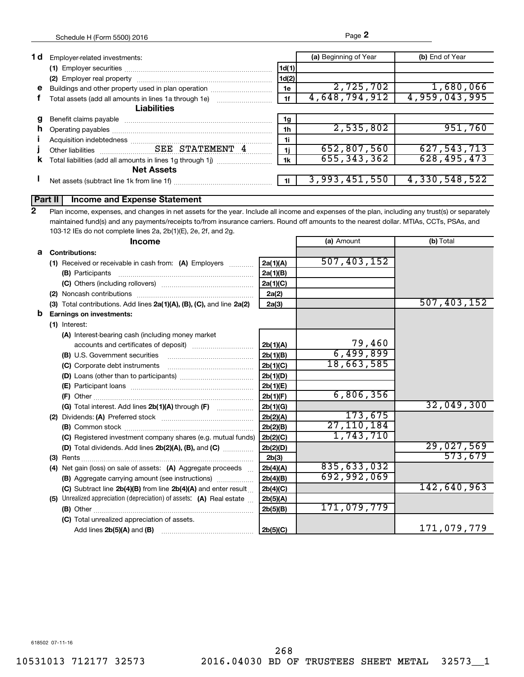| 1 d | Employer-related investments:                              |       | (a) Beginning of Year | (b) End of Year |
|-----|------------------------------------------------------------|-------|-----------------------|-----------------|
|     |                                                            | 1d(1) |                       |                 |
|     |                                                            | 1d(2) |                       |                 |
| е   | Buildings and other property used in plan operation        | 1e    | 2,725,702             | 1,680,066       |
|     | Total assets (add all amounts in lines 1a through 1e)      | 1f    | 4,648,794,912         | 4,959,043,995   |
|     | <b>Liabilities</b>                                         |       |                       |                 |
|     |                                                            | 1g    |                       |                 |
| n.  |                                                            | 1h    | 2,535,802             | 951,760         |
|     |                                                            | 1i    |                       |                 |
|     |                                                            | 1j    | 652,807,560           | 627,543,713     |
| κ   | Total liabilities (add all amounts in lines 1g through 1j) | 1k    | 655, 343, 362         | 628, 495, 473   |
|     | <b>Net Assets</b>                                          |       |                       |                 |
|     | Net assets (subtract line 1k from line 1f)                 |       | 3,993,451,550         | 4,330,548,522   |
|     |                                                            |       |                       |                 |

## **Part II Income and Expense Statement**

Plan income, expenses, and changes in net assets for the year. Include all income and expenses of the plan, including any trust(s) or separately maintained fund(s) and any payments/receipts to/from insurance carriers. Round off amounts to the nearest dollar. MTIAs, CCTs, PSAs, and 103-12 IEs do not complete lines 2a, 2b(1)(E), 2e, 2f, and 2g. **2**

|   | <b>Income</b>                                                         |          | (a) Amount  | (b) Total   |
|---|-----------------------------------------------------------------------|----------|-------------|-------------|
|   | <b>a</b> Contributions:                                               |          |             |             |
|   | (1) Received or receivable in cash from: (A) Employers                | 2a(1)(A) | 507,403,152 |             |
|   |                                                                       | 2a(1)(B) |             |             |
|   |                                                                       | 2a(1)(C) |             |             |
|   |                                                                       | 2a(2)    |             |             |
|   | (3) Total contributions. Add lines 2a(1)(A), (B), (C), and line 2a(2) | 2a(3)    |             | 507,403,152 |
| b | <b>Earnings on investments:</b>                                       |          |             |             |
|   | (1) Interest:                                                         |          |             |             |
|   | (A) Interest-bearing cash (including money market                     |          |             |             |
|   |                                                                       | 2b(1)(A) | 79,460      |             |
|   | (B) U.S. Government securities                                        | 2b(1)(B) | 6,499,899   |             |
|   | (C) Corporate debt instruments                                        | 2b(1)(C) | 18,663,585  |             |
|   |                                                                       | 2b(1)(D) |             |             |
|   |                                                                       | 2b(1)(E) |             |             |
|   |                                                                       | 2b(1)(F) | 6,806,356   |             |
|   |                                                                       | 2b(1)(G) |             | 32,049,300  |
|   |                                                                       | 2b(2)(A) | 173,675     |             |
|   |                                                                       | 2b(2)(B) | 27,110,184  |             |
|   | (C) Registered investment company shares (e.g. mutual funds)          | 2b(2)(C) | 1,743,710   |             |
|   | (D) Total dividends. Add lines 2b(2)(A), (B), and (C)                 | 2b(2)(D) |             | 29,027,569  |
|   |                                                                       | 2b(3)    |             | 573,679     |
|   | (4) Net gain (loss) on sale of assets: (A) Aggregate proceeds         | 2b(4)(A) | 835,633,032 |             |
|   | (B) Aggregate carrying amount (see instructions)                      | 2b(4)(B) | 692,992,069 |             |
|   | (C) Subtract line $2b(4)(B)$ from line $2b(4)(A)$ and enter result    | 2b(4)(C) |             | 142,640,963 |
|   | (5) Unrealized appreciation (depreciation) of assets: (A) Real estate | 2b(5)(A) |             |             |
|   |                                                                       | 2b(5)(B) | 171,079,779 |             |
|   | (C) Total unrealized appreciation of assets.                          |          |             |             |
|   |                                                                       | 2b(5)(C) |             | 171,079,779 |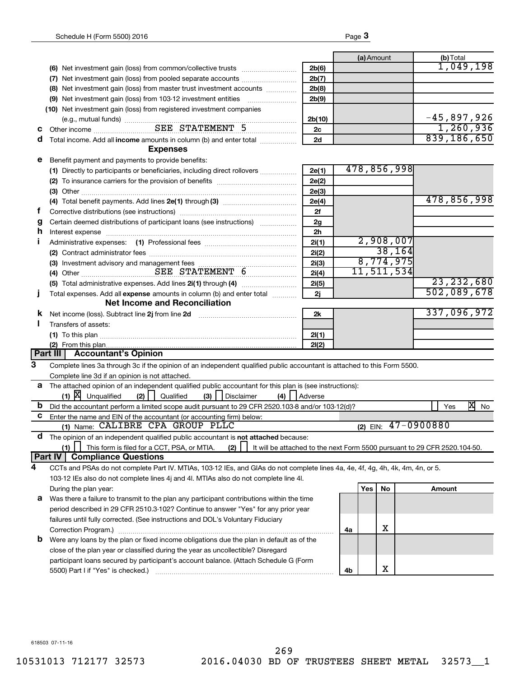|    |                                                                                                                                                                                                                                |                |    | (a) Amount |                         | (b) Total |               |
|----|--------------------------------------------------------------------------------------------------------------------------------------------------------------------------------------------------------------------------------|----------------|----|------------|-------------------------|-----------|---------------|
|    |                                                                                                                                                                                                                                | 2b(6)          |    |            |                         |           | 1,049,198     |
|    | (7) Net investment gain (loss) from pooled separate accounts                                                                                                                                                                   | 2b(7)          |    |            |                         |           |               |
|    | (8) Net investment gain (loss) from master trust investment accounts                                                                                                                                                           | 2b(8)          |    |            |                         |           |               |
|    |                                                                                                                                                                                                                                | 2b(9)          |    |            |                         |           |               |
|    | (10) Net investment gain (loss) from registered investment companies                                                                                                                                                           |                |    |            |                         |           |               |
|    |                                                                                                                                                                                                                                | 2b(10)         |    |            |                         |           | $-45,897,926$ |
| С  | (e.g., mutual funds)<br>Other income<br>EEE STATEMENT 5                                                                                                                                                                        | 2с             |    |            |                         |           | 1,260,936     |
| a  | Total income. Add all income amounts in column (b) and enter total <i></i>                                                                                                                                                     | 2d             |    |            |                         |           | 839,186,650   |
|    | <b>Expenses</b>                                                                                                                                                                                                                |                |    |            |                         |           |               |
| е  | Benefit payment and payments to provide benefits:                                                                                                                                                                              |                |    |            |                         |           |               |
|    | (1) Directly to participants or beneficiaries, including direct rollovers                                                                                                                                                      | 2e(1)          |    |            | 478,856,998             |           |               |
|    |                                                                                                                                                                                                                                | 2e(2)          |    |            |                         |           |               |
|    |                                                                                                                                                                                                                                | 2e(3)          |    |            |                         |           |               |
|    |                                                                                                                                                                                                                                | 2e(4)          |    |            |                         |           | 478,856,998   |
| Ť. |                                                                                                                                                                                                                                | 2f             |    |            |                         |           |               |
| g  | Certain deemed distributions of participant loans (see instructions)                                                                                                                                                           | 2g             |    |            |                         |           |               |
| h  | Interest expense material contracts and contracts and contracts are in the contracts of the contracts of the contracts of the contracts of the contracts of the contracts of the contracts of the contracts of the contracts o | 2 <sub>h</sub> |    |            |                         |           |               |
| П  |                                                                                                                                                                                                                                | 2i(1)          |    |            | 2,908,007               |           |               |
|    |                                                                                                                                                                                                                                | 2i(2)          |    |            | 38, 164                 |           |               |
|    |                                                                                                                                                                                                                                | 2i(3)          |    |            | 8,774,975               |           |               |
|    | (4) Other SEE STATEMENT 6                                                                                                                                                                                                      | 2i(4)          |    |            | 11,511,534              |           |               |
|    |                                                                                                                                                                                                                                | 2i(5)          |    |            |                         |           | 23, 232, 680  |
| т  | Total expenses. Add all expense amounts in column (b) and enter total <i></i>                                                                                                                                                  | 2j             |    |            |                         |           | 502,089,678   |
|    | <b>Net Income and Reconciliation</b>                                                                                                                                                                                           |                |    |            |                         |           |               |
| ĸ  | Net income (loss). Subtract line 2j from line 2d                                                                                                                                                                               | 2k             |    |            |                         |           | 337,096,972   |
| ш  | Transfers of assets:                                                                                                                                                                                                           |                |    |            |                         |           |               |
|    |                                                                                                                                                                                                                                | 2I(1)          |    |            |                         |           |               |
|    |                                                                                                                                                                                                                                | 2I(2)          |    |            |                         |           |               |
|    | Part III   Accountant's Opinion                                                                                                                                                                                                |                |    |            |                         |           |               |
| 3  | Complete lines 3a through 3c if the opinion of an independent qualified public accountant is attached to this Form 5500.                                                                                                       |                |    |            |                         |           |               |
|    | Complete line 3d if an opinion is not attached.                                                                                                                                                                                |                |    |            |                         |           |               |
|    | a The attached opinion of an independent qualified public accountant for this plan is (see instructions):                                                                                                                      |                |    |            |                         |           |               |
|    | $(1)$ $[X]$ Unqualified<br>(3)<br>(2)<br>(4)<br>Qualified<br>  Disclaimer                                                                                                                                                      | Adverse        |    |            |                         |           |               |
| b  | Did the accountant perform a limited scope audit pursuant to 29 CFR 2520.103-8 and/or 103-12(d)?                                                                                                                               |                |    |            |                         | Yes       | x<br>No       |
| C. | Enter the name and EIN of the accountant (or accounting firm) below:                                                                                                                                                           |                |    |            |                         |           |               |
|    | (1) Name: CALIBRE CPA GROUP PLLC                                                                                                                                                                                               |                |    |            | (2) EIN: $47 - 0900880$ |           |               |
| a  | The opinion of an independent qualified public accountant is not attached because:                                                                                                                                             |                |    |            |                         |           |               |
|    | (1)<br>This form is filed for a CCT, PSA, or MTIA.<br>(2)<br>It will be attached to the next Form 5500 pursuant to 29 CFR 2520.104-50.                                                                                         |                |    |            |                         |           |               |
|    | Part IV<br><b>Compliance Questions</b>                                                                                                                                                                                         |                |    |            |                         |           |               |
| 4  | CCTs and PSAs do not complete Part IV. MTIAs, 103-12 IEs, and GIAs do not complete lines 4a, 4e, 4f, 4g, 4h, 4k, 4m, 4n, or 5.                                                                                                 |                |    |            |                         |           |               |
|    | 103-12 IEs also do not complete lines 4j and 4l. MTIAs also do not complete line 4l.                                                                                                                                           |                |    |            |                         |           |               |
|    | During the plan year:                                                                                                                                                                                                          |                |    | Yes        | No                      | Amount    |               |
| a  | Was there a failure to transmit to the plan any participant contributions within the time                                                                                                                                      |                |    |            |                         |           |               |
|    | period described in 29 CFR 2510.3-102? Continue to answer "Yes" for any prior year                                                                                                                                             |                |    |            |                         |           |               |
|    | failures until fully corrected. (See instructions and DOL's Voluntary Fiduciary                                                                                                                                                |                |    |            |                         |           |               |
|    | Correction Program.)                                                                                                                                                                                                           |                | 4a |            | х                       |           |               |
| b  | Were any loans by the plan or fixed income obligations due the plan in default as of the                                                                                                                                       |                |    |            |                         |           |               |
|    | close of the plan year or classified during the year as uncollectible? Disregard                                                                                                                                               |                |    |            |                         |           |               |
|    | participant loans secured by participant's account balance. (Attach Schedule G (Form                                                                                                                                           |                |    |            |                         |           |               |
|    | 5500) Part I if "Yes" is checked.)                                                                                                                                                                                             |                | 4b |            | x                       |           |               |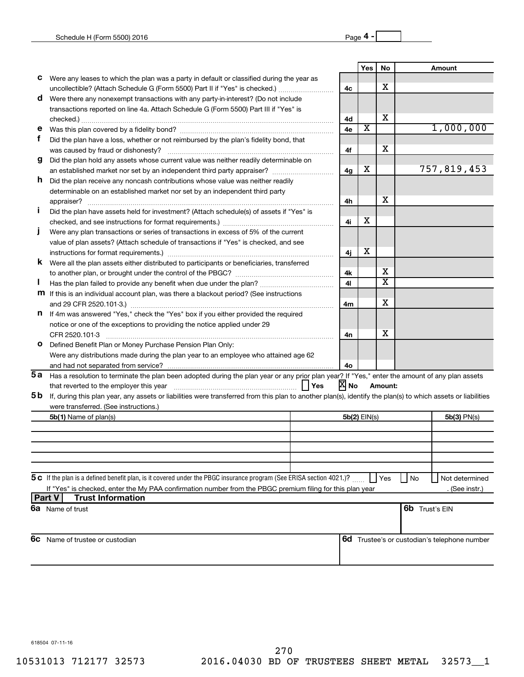|                                                                                                           |                                                                                                                                                              |     |                | Yes | No                      |                       | Amount                                       |
|-----------------------------------------------------------------------------------------------------------|--------------------------------------------------------------------------------------------------------------------------------------------------------------|-----|----------------|-----|-------------------------|-----------------------|----------------------------------------------|
| с                                                                                                         | Were any leases to which the plan was a party in default or classified during the year as                                                                    |     |                |     |                         |                       |                                              |
|                                                                                                           | uncollectible? (Attach Schedule G (Form 5500) Part II if "Yes" is checked.)                                                                                  |     | 4c             |     | х                       |                       |                                              |
| d                                                                                                         | Were there any nonexempt transactions with any party-in-interest? (Do not include                                                                            |     |                |     |                         |                       |                                              |
|                                                                                                           | transactions reported on line 4a. Attach Schedule G (Form 5500) Part III if "Yes" is                                                                         |     |                |     |                         |                       |                                              |
|                                                                                                           |                                                                                                                                                              |     | 4d             |     | х                       |                       |                                              |
| е                                                                                                         |                                                                                                                                                              |     | 4e             | X   |                         |                       | 1,000,000                                    |
| f                                                                                                         | Did the plan have a loss, whether or not reimbursed by the plan's fidelity bond, that                                                                        |     |                |     |                         |                       |                                              |
|                                                                                                           |                                                                                                                                                              |     | 4f             |     | х                       |                       |                                              |
| g                                                                                                         | Did the plan hold any assets whose current value was neither readily determinable on                                                                         |     |                |     |                         |                       |                                              |
|                                                                                                           |                                                                                                                                                              |     | 4g             | х   |                         |                       | 757,819,453                                  |
| h.                                                                                                        | Did the plan receive any noncash contributions whose value was neither readily                                                                               |     |                |     |                         |                       |                                              |
|                                                                                                           | determinable on an established market nor set by an independent third party                                                                                  |     |                |     |                         |                       |                                              |
|                                                                                                           | appraiser?                                                                                                                                                   |     | 4h             |     | х                       |                       |                                              |
|                                                                                                           | Did the plan have assets held for investment? (Attach schedule(s) of assets if "Yes" is                                                                      |     |                |     |                         |                       |                                              |
|                                                                                                           |                                                                                                                                                              |     | 4i             | х   |                         |                       |                                              |
|                                                                                                           | Were any plan transactions or series of transactions in excess of 5% of the current                                                                          |     |                |     |                         |                       |                                              |
|                                                                                                           | value of plan assets? (Attach schedule of transactions if "Yes" is checked, and see                                                                          |     |                |     |                         |                       |                                              |
|                                                                                                           |                                                                                                                                                              |     | 4i             | х   |                         |                       |                                              |
| k.                                                                                                        | Were all the plan assets either distributed to participants or beneficiaries, transferred                                                                    |     |                |     |                         |                       |                                              |
|                                                                                                           |                                                                                                                                                              |     | 4k             |     | х                       |                       |                                              |
|                                                                                                           |                                                                                                                                                              |     | 41             |     | $\overline{\textbf{x}}$ |                       |                                              |
|                                                                                                           | m If this is an individual account plan, was there a blackout period? (See instructions                                                                      |     |                |     |                         |                       |                                              |
|                                                                                                           |                                                                                                                                                              |     | 4m             |     | х                       |                       |                                              |
|                                                                                                           | n If 4m was answered "Yes," check the "Yes" box if you either provided the required                                                                          |     |                |     |                         |                       |                                              |
|                                                                                                           | notice or one of the exceptions to providing the notice applied under 29                                                                                     |     |                |     | х                       |                       |                                              |
|                                                                                                           | CFR 2520.101-3                                                                                                                                               |     | 4n             |     |                         |                       |                                              |
| o                                                                                                         | Defined Benefit Plan or Money Purchase Pension Plan Only:                                                                                                    |     |                |     |                         |                       |                                              |
|                                                                                                           | Were any distributions made during the plan year to an employee who attained age 62                                                                          |     |                |     |                         |                       |                                              |
|                                                                                                           | 5a Has a resolution to terminate the plan been adopted during the plan year or any prior plan year? If "Yes," enter the amount of any plan assets            |     | 4о             |     |                         |                       |                                              |
|                                                                                                           |                                                                                                                                                              | Yes | XI No          |     | Amount:                 |                       |                                              |
| 5 b                                                                                                       | If, during this plan year, any assets or liabilities were transferred from this plan to another plan(s), identify the plan(s) to which assets or liabilities |     |                |     |                         |                       |                                              |
|                                                                                                           | were transferred. (See instructions.)                                                                                                                        |     |                |     |                         |                       |                                              |
|                                                                                                           | 5b(1) Name of plan(s)                                                                                                                                        |     | $5b(2)$ EIN(s) |     |                         |                       | $5b(3)$ PN(s)                                |
|                                                                                                           |                                                                                                                                                              |     |                |     |                         |                       |                                              |
|                                                                                                           |                                                                                                                                                              |     |                |     |                         |                       |                                              |
|                                                                                                           |                                                                                                                                                              |     |                |     |                         |                       |                                              |
|                                                                                                           |                                                                                                                                                              |     |                |     |                         |                       |                                              |
|                                                                                                           |                                                                                                                                                              |     |                |     |                         |                       |                                              |
|                                                                                                           | 5 c If the plan is a defined benefit plan, is it covered under the PBGC insurance program (See ERISA section 4021.)?                                         |     |                | Yes | No                      | Not determined        |                                              |
| If "Yes" is checked, enter the My PAA confirmation number from the PBGC premium filing for this plan year |                                                                                                                                                              |     |                |     |                         |                       | (See instr.)                                 |
| <b>Part V</b>                                                                                             | <b>Trust Information</b>                                                                                                                                     |     |                |     |                         |                       |                                              |
|                                                                                                           | <b>6a</b> Name of trust                                                                                                                                      |     |                |     |                         | <b>6b</b> Trust's EIN |                                              |
|                                                                                                           |                                                                                                                                                              |     |                |     |                         |                       |                                              |
|                                                                                                           |                                                                                                                                                              |     |                |     |                         |                       |                                              |
| 6c                                                                                                        | Name of trustee or custodian                                                                                                                                 |     |                |     |                         |                       | 6d Trustee's or custodian's telephone number |
|                                                                                                           |                                                                                                                                                              |     |                |     |                         |                       |                                              |
|                                                                                                           |                                                                                                                                                              |     |                |     |                         |                       |                                              |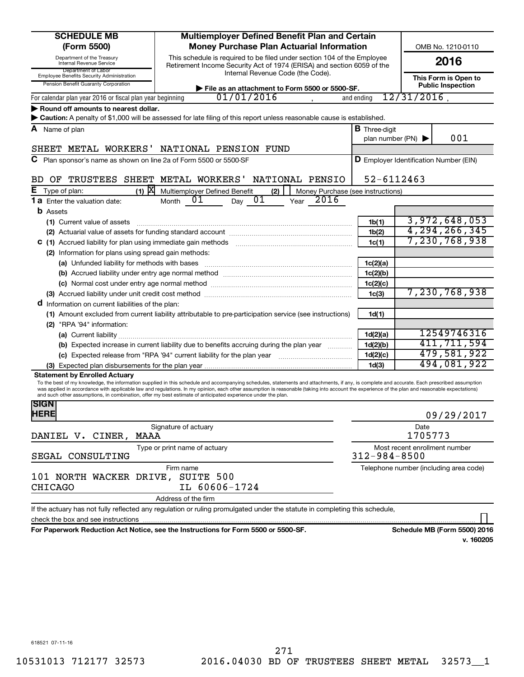| <b>SCHEDULE MB</b>                                                                                       | Multiemployer Defined Benefit Plan and Certain                                                                                                                                                                                                                                                                                                                                                                                                                                                                |                                               |                |                  |  |  |
|----------------------------------------------------------------------------------------------------------|---------------------------------------------------------------------------------------------------------------------------------------------------------------------------------------------------------------------------------------------------------------------------------------------------------------------------------------------------------------------------------------------------------------------------------------------------------------------------------------------------------------|-----------------------------------------------|----------------|------------------|--|--|
| (Form 5500)                                                                                              | <b>Money Purchase Plan Actuarial Information</b><br>OMB No. 1210-0110                                                                                                                                                                                                                                                                                                                                                                                                                                         |                                               |                |                  |  |  |
| Department of the Treasury<br>Internal Revenue Service                                                   | This schedule is required to be filed under section 104 of the Employee<br>Retirement Income Security Act of 1974 (ERISA) and section 6059 of the                                                                                                                                                                                                                                                                                                                                                             |                                               |                | 2016             |  |  |
| Employee Benefits Security Administration<br>Pension Benefit Guaranty Corporation                        | Department of Labor<br>Internal Revenue Code (the Code).<br>This Form is Open to<br><b>Public Inspection</b><br>File as an attachment to Form 5500 or 5500-SF.                                                                                                                                                                                                                                                                                                                                                |                                               |                |                  |  |  |
| For calendar plan year 2016 or fiscal plan year beginning                                                | 01/01/2016                                                                                                                                                                                                                                                                                                                                                                                                                                                                                                    | and ending                                    | $12/31/2016$ , |                  |  |  |
| Round off amounts to nearest dollar.                                                                     |                                                                                                                                                                                                                                                                                                                                                                                                                                                                                                               |                                               |                |                  |  |  |
|                                                                                                          | > Caution: A penalty of \$1,000 will be assessed for late filing of this report unless reasonable cause is established.                                                                                                                                                                                                                                                                                                                                                                                       |                                               |                |                  |  |  |
| A Name of plan                                                                                           |                                                                                                                                                                                                                                                                                                                                                                                                                                                                                                               | <b>B</b> Three-diait                          |                |                  |  |  |
|                                                                                                          |                                                                                                                                                                                                                                                                                                                                                                                                                                                                                                               | plan number (PN) $\blacktriangleright$        |                | 001              |  |  |
| SHEET METAL WORKERS' NATIONAL PENSION FUND                                                               |                                                                                                                                                                                                                                                                                                                                                                                                                                                                                                               |                                               |                |                  |  |  |
| C Plan sponsor's name as shown on line 2a of Form 5500 or 5500-SF                                        |                                                                                                                                                                                                                                                                                                                                                                                                                                                                                                               | <b>D</b> Employer Identification Number (EIN) |                |                  |  |  |
| OF TRUSTEES SHEET METAL WORKERS'<br>BD.                                                                  | NATIONAL PENSIO                                                                                                                                                                                                                                                                                                                                                                                                                                                                                               | $52 - 6112463$                                |                |                  |  |  |
| $(1)$ $X$<br>Е<br>Type of plan:                                                                          | Multiemployer Defined Benefit<br>(2)<br>Money Purchase (see instructions)                                                                                                                                                                                                                                                                                                                                                                                                                                     |                                               |                |                  |  |  |
| <b>1 a</b> Enter the valuation date:                                                                     | 01<br>2016<br>01<br>Month<br>Year<br>Day                                                                                                                                                                                                                                                                                                                                                                                                                                                                      |                                               |                |                  |  |  |
| <b>b</b> Assets                                                                                          |                                                                                                                                                                                                                                                                                                                                                                                                                                                                                                               |                                               |                |                  |  |  |
| (1) Current value of assets                                                                              |                                                                                                                                                                                                                                                                                                                                                                                                                                                                                                               | 1 <sub>b</sub> (1)                            |                | 3,972,648,053    |  |  |
|                                                                                                          |                                                                                                                                                                                                                                                                                                                                                                                                                                                                                                               | 1 <sub>b</sub> (2)                            |                | 4, 294, 266, 345 |  |  |
| C (1) Accrued liability for plan using immediate gain methods                                            |                                                                                                                                                                                                                                                                                                                                                                                                                                                                                                               | 1c(1)                                         |                | 7,230,768,938    |  |  |
| (2) Information for plans using spread gain methods:                                                     |                                                                                                                                                                                                                                                                                                                                                                                                                                                                                                               |                                               |                |                  |  |  |
|                                                                                                          |                                                                                                                                                                                                                                                                                                                                                                                                                                                                                                               | 1c(2)(a)                                      |                |                  |  |  |
|                                                                                                          |                                                                                                                                                                                                                                                                                                                                                                                                                                                                                                               | 1c(2)(b)                                      |                |                  |  |  |
|                                                                                                          |                                                                                                                                                                                                                                                                                                                                                                                                                                                                                                               | 1c(2)(c)                                      |                |                  |  |  |
|                                                                                                          |                                                                                                                                                                                                                                                                                                                                                                                                                                                                                                               | 1 <sub>c</sub> (3)                            | 7,230,768,938  |                  |  |  |
| <b>d</b> Information on current liabilities of the plan:                                                 |                                                                                                                                                                                                                                                                                                                                                                                                                                                                                                               |                                               |                |                  |  |  |
|                                                                                                          | (1) Amount excluded from current liability attributable to pre-participation service (see instructions)                                                                                                                                                                                                                                                                                                                                                                                                       | 1d(1)                                         |                |                  |  |  |
| (2) "RPA '94" information:                                                                               |                                                                                                                                                                                                                                                                                                                                                                                                                                                                                                               |                                               |                |                  |  |  |
|                                                                                                          |                                                                                                                                                                                                                                                                                                                                                                                                                                                                                                               | 1d(2)(a)                                      |                | 12549746316      |  |  |
|                                                                                                          | (b) Expected increase in current liability due to benefits accruing during the plan year                                                                                                                                                                                                                                                                                                                                                                                                                      | 1d(2)(b)                                      |                | 411,711,594      |  |  |
|                                                                                                          |                                                                                                                                                                                                                                                                                                                                                                                                                                                                                                               | 1d(2)(c)                                      |                | 479,581,922      |  |  |
|                                                                                                          |                                                                                                                                                                                                                                                                                                                                                                                                                                                                                                               | 1 <sub>d</sub> (3)                            |                | 494,081,922      |  |  |
| <b>Statement by Enrolled Actuary</b>                                                                     |                                                                                                                                                                                                                                                                                                                                                                                                                                                                                                               |                                               |                |                  |  |  |
|                                                                                                          | To the best of my knowledge, the information supplied in this schedule and accompanying schedules, statements and attachments, if any, is complete and accurate. Each prescribed assumption<br>was applied in accordance with applicable law and regulations. In my opinion, each other assumption is reasonable (taking into account the experience of the plan and reasonable expectations)<br>and such other assumptions, in combination, offer my best estimate of anticipated experience under the plan. |                                               |                |                  |  |  |
| <b>SIGN</b><br><b>HERE</b>                                                                               |                                                                                                                                                                                                                                                                                                                                                                                                                                                                                                               |                                               |                | 09/29/2017       |  |  |
|                                                                                                          | Signature of actuary                                                                                                                                                                                                                                                                                                                                                                                                                                                                                          |                                               | Date           |                  |  |  |
| DANIEL V. CINER,<br>MAAA                                                                                 |                                                                                                                                                                                                                                                                                                                                                                                                                                                                                                               |                                               | 1705773        |                  |  |  |
| Most recent enrollment number<br>Type or print name of actuary<br>$312 - 984 - 8500$<br>SEGAL CONSULTING |                                                                                                                                                                                                                                                                                                                                                                                                                                                                                                               |                                               |                |                  |  |  |
| Telephone number (including area code)<br>Firm name<br>SUITE 500<br>101 NORTH WACKER DRIVE,              |                                                                                                                                                                                                                                                                                                                                                                                                                                                                                                               |                                               |                |                  |  |  |
| <b>CHICAGO</b>                                                                                           | IL 60606-1724                                                                                                                                                                                                                                                                                                                                                                                                                                                                                                 |                                               |                |                  |  |  |
|                                                                                                          | Address of the firm                                                                                                                                                                                                                                                                                                                                                                                                                                                                                           |                                               |                |                  |  |  |
|                                                                                                          | If the actuary has not fully reflected any regulation or ruling promulgated under the statute in completing this schedule,                                                                                                                                                                                                                                                                                                                                                                                    |                                               |                |                  |  |  |
| check the box and see instructions                                                                       |                                                                                                                                                                                                                                                                                                                                                                                                                                                                                                               |                                               |                |                  |  |  |
|                                                                                                          | Departuarly Reduction Act Notice, can the Instructions for Form FEOO or FEOO SE                                                                                                                                                                                                                                                                                                                                                                                                                               |                                               |                |                  |  |  |

**For Paperwork Reduction Act Notice, see the Instructions for Form 5500 or 5500-SF. Schedule MB (Form 5500) 2016**

**v. 160205**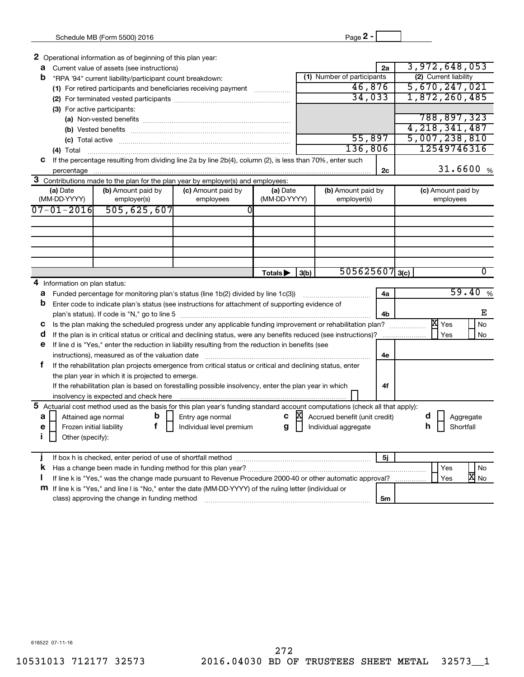**2** Operational information as of beginning of this plan year:

| а                            |                          | Current value of assets (see instructions)                                                                |                                 |                          | 2a                                | 3,972,648,053                   |  |  |
|------------------------------|--------------------------|-----------------------------------------------------------------------------------------------------------|---------------------------------|--------------------------|-----------------------------------|---------------------------------|--|--|
| b                            |                          | "RPA '94" current liability/participant count breakdown:                                                  |                                 |                          | (1) Number of participants        | (2) Current liability           |  |  |
|                              |                          | (1) For retired participants and beneficiaries receiving payment                                          |                                 |                          | 46,876                            | 5,670,247,021                   |  |  |
|                              |                          |                                                                                                           |                                 |                          | 34,033                            | 1,872,260,485                   |  |  |
| (3) For active participants: |                          |                                                                                                           |                                 |                          |                                   |                                 |  |  |
|                              |                          | (a) Non-vested benefits                                                                                   |                                 |                          |                                   | 788,897,323                     |  |  |
|                              |                          |                                                                                                           |                                 |                          | 4, 218, 341, 487                  |                                 |  |  |
|                              | (c) Total active         |                                                                                                           |                                 |                          | 55,897                            | 5,007,238,810                   |  |  |
|                              | $(4)$ Total              |                                                                                                           |                                 |                          | 136,806                           | 12549746316                     |  |  |
|                              |                          | If the percentage resulting from dividing line 2a by line 2b(4), column (2), is less than 70%, enter such |                                 |                          |                                   |                                 |  |  |
|                              | percentage               |                                                                                                           |                                 |                          | 2c                                | 31.6600%                        |  |  |
|                              |                          | Contributions made to the plan for the plan year by employer(s) and employees:                            |                                 |                          |                                   |                                 |  |  |
|                              | (a) Date<br>(MM-DD-YYYY) | (b) Amount paid by<br>employer(s)                                                                         | (c) Amount paid by<br>employees | (a) Date<br>(MM-DD-YYYY) | (b) Amount paid by<br>employer(s) | (c) Amount paid by<br>employees |  |  |
|                              | 07-01-2016               | 505,625,607                                                                                               |                                 |                          |                                   |                                 |  |  |

|                                                                                                                 | $07 - 01 - 2016$              | 505, 625, 607                                     |                                                                                                                              |              |      |                               |                  |           |    |
|-----------------------------------------------------------------------------------------------------------------|-------------------------------|---------------------------------------------------|------------------------------------------------------------------------------------------------------------------------------|--------------|------|-------------------------------|------------------|-----------|----|
|                                                                                                                 |                               |                                                   |                                                                                                                              |              |      |                               |                  |           |    |
|                                                                                                                 |                               |                                                   |                                                                                                                              |              |      |                               |                  |           |    |
|                                                                                                                 |                               |                                                   |                                                                                                                              |              |      |                               |                  |           |    |
|                                                                                                                 |                               |                                                   |                                                                                                                              |              |      |                               |                  |           |    |
|                                                                                                                 |                               |                                                   |                                                                                                                              |              |      |                               |                  |           |    |
|                                                                                                                 |                               |                                                   |                                                                                                                              | Totals ▶     | 3(b) |                               | $505625607$ 3(c) |           |    |
|                                                                                                                 | 4 Information on plan status: |                                                   |                                                                                                                              |              |      |                               |                  |           |    |
| a                                                                                                               |                               |                                                   | Funded percentage for monitoring plan's status (line 1b(2) divided by line 1c(3))                                            |              |      |                               | 4a               | 59.40     | %  |
| b                                                                                                               |                               |                                                   | Enter code to indicate plan's status (see instructions for attachment of supporting evidence of                              |              |      |                               |                  |           |    |
|                                                                                                                 |                               |                                                   |                                                                                                                              |              |      |                               | 4b               |           | Е  |
| Is the plan making the scheduled progress under any applicable funding improvement or rehabilitation plan?<br>С |                               |                                                   |                                                                                                                              |              |      |                               | X<br>Yes         | <b>No</b> |    |
| a                                                                                                               |                               |                                                   | If the plan is in critical status or critical and declining status, were any benefits reduced (see instructions)?            |              |      |                               |                  | Yes       | No |
| е                                                                                                               |                               |                                                   | If line d is "Yes," enter the reduction in liability resulting from the reduction in benefits (see                           |              |      |                               |                  |           |    |
|                                                                                                                 |                               | instructions), measured as of the valuation date  |                                                                                                                              |              |      |                               | 4e               |           |    |
| f                                                                                                               |                               |                                                   | If the rehabilitation plan projects emergence from critical status or critical and declining status, enter                   |              |      |                               |                  |           |    |
|                                                                                                                 |                               | the plan year in which it is projected to emerge. |                                                                                                                              |              |      |                               |                  |           |    |
|                                                                                                                 |                               |                                                   | If the rehabilitation plan is based on forestalling possible insolvency, enter the plan year in which                        |              |      |                               | 4f               |           |    |
|                                                                                                                 |                               | insolvency is expected and check here             |                                                                                                                              |              |      |                               |                  |           |    |
|                                                                                                                 |                               |                                                   | 5 Actuarial cost method used as the basis for this plan year's funding standard account computations (check all that apply): |              |      |                               |                  |           |    |
| a                                                                                                               | Attained age normal           | b                                                 | Entry age normal                                                                                                             | $\mathbf{c}$ | ÞХ   | Accrued benefit (unit credit) |                  | Aggregate |    |
| е                                                                                                               | Frozen initial liability      | f                                                 | Individual level premium                                                                                                     | g            |      | Individual aggregate          |                  | Shortfall |    |
|                                                                                                                 | Other (specify):              |                                                   |                                                                                                                              |              |      |                               |                  |           |    |
|                                                                                                                 |                               |                                                   |                                                                                                                              |              |      |                               |                  |           |    |
|                                                                                                                 |                               |                                                   |                                                                                                                              |              |      |                               | 5j               |           |    |
|                                                                                                                 |                               |                                                   |                                                                                                                              |              |      |                               |                  |           |    |

| Has a change been made in funding method for this plan year?                                                     |    |  | Yes | No                |
|------------------------------------------------------------------------------------------------------------------|----|--|-----|-------------------|
| If line k is "Yes," was the change made pursuant to Revenue Procedure 2000-40 or other automatic approval?       |    |  | Yes | $\overline{X}$ No |
| <b>m</b> If line k is "Yes," and line I is "No," enter the date (MM-DD-YYYY) of the ruling letter (individual or |    |  |     |                   |
| class) approving the change in funding method                                                                    | 5m |  |     |                   |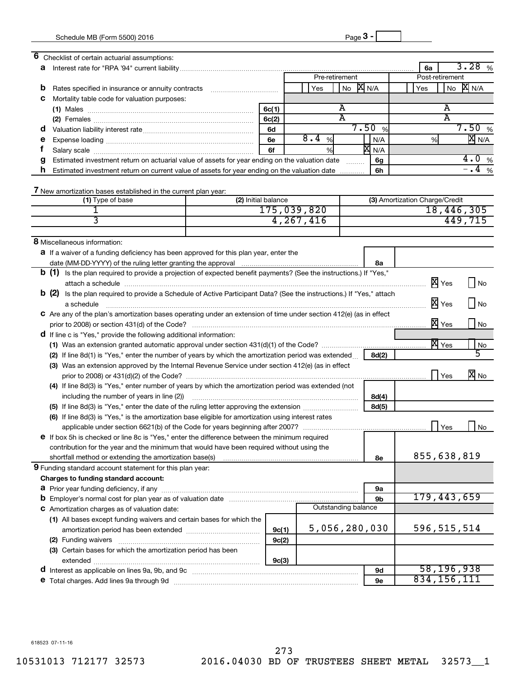| 6 | Checklist of certain actuarial assumptions:                                                                                  |                     |                |                     |       |                                |              |                             |
|---|------------------------------------------------------------------------------------------------------------------------------|---------------------|----------------|---------------------|-------|--------------------------------|--------------|-----------------------------|
| а |                                                                                                                              |                     |                |                     |       | 6a                             |              | 3.28<br>%                   |
|   |                                                                                                                              |                     | Pre-retirement |                     |       | Post-retirement                |              |                             |
| b | Rates specified in insurance or annuity contracts                                                                            |                     | Yes            | No $X_{N/A}$        |       | Yes                            | No           | <b>X</b> N/A                |
| С | Mortality table code for valuation purposes:                                                                                 |                     |                |                     |       |                                |              |                             |
|   |                                                                                                                              | 6c(1)               |                | Α                   |       |                                | A            |                             |
|   |                                                                                                                              | 6c(2)               |                | A                   |       |                                | A            |                             |
| a |                                                                                                                              | 6d                  |                |                     | 7.50% |                                |              | 7.50%                       |
| е |                                                                                                                              | 6e                  | 8.4<br>%       |                     | N/A   | %                              |              | $\overline{\mathbb{X}}$ N/A |
| t |                                                                                                                              | 6f                  | %              |                     | X N/A |                                |              |                             |
| g | Estimated investment return on actuarial value of assets for year ending on the valuation date                               |                     |                |                     | 6g    |                                |              | 4.0%                        |
| h | Estimated investment return on current value of assets for year ending on the valuation date                                 |                     |                |                     | 6h    |                                |              | $-4$ %                      |
|   |                                                                                                                              |                     |                |                     |       |                                |              |                             |
|   | 7 New amortization bases established in the current plan year:                                                               |                     |                |                     |       |                                |              |                             |
|   | (1) Type of base                                                                                                             | (2) Initial balance |                |                     |       | (3) Amortization Charge/Credit |              |                             |
|   |                                                                                                                              |                     | 175,039,820    |                     |       |                                |              | 18,446,305                  |
|   | 3                                                                                                                            |                     | 4, 267, 416    |                     |       |                                |              | 449,715                     |
|   |                                                                                                                              |                     |                |                     |       |                                |              |                             |
|   | 8 Miscellaneous information:                                                                                                 |                     |                |                     |       |                                |              |                             |
|   | <b>a</b> If a waiver of a funding deficiency has been approved for this plan year, enter the                                 |                     |                |                     |       |                                |              |                             |
|   |                                                                                                                              |                     |                |                     | 8а    |                                |              |                             |
|   | <b>b</b> (1) Is the plan required to provide a projection of expected benefit payments? (See the instructions.) If "Yes,"    |                     |                |                     |       |                                |              |                             |
|   |                                                                                                                              |                     |                |                     |       |                                | X Yes        | No                          |
|   | <b>b</b> (2) Is the plan required to provide a Schedule of Active Participant Data? (See the instructions.) If "Yes," attach |                     |                |                     |       |                                |              |                             |
|   | a schedule                                                                                                                   |                     |                |                     |       |                                | X Yes        | <b>No</b>                   |
|   | C Are any of the plan's amortization bases operating under an extension of time under section 412(e) (as in effect           |                     |                |                     |       |                                |              |                             |
|   |                                                                                                                              |                     |                |                     |       |                                | X Yes        | No                          |
|   | <b>d</b> If line c is "Yes," provide the following additional information:                                                   |                     |                |                     |       |                                |              |                             |
|   |                                                                                                                              |                     |                |                     |       |                                | <b>X</b> Yes | No                          |
|   | (2) If line 8d(1) is "Yes," enter the number of years by which the amortization period was extended                          |                     |                |                     | 8d(2) |                                |              |                             |
|   | (3) Was an extension approved by the Internal Revenue Service under section 412(e) (as in effect                             |                     |                |                     |       |                                |              |                             |
|   |                                                                                                                              |                     |                |                     |       |                                | Yes          | $\overline{X}$ No           |
|   | (4) If line 8d(3) is "Yes," enter number of years by which the amortization period was extended (not                         |                     |                |                     |       |                                |              |                             |
|   | including the number of years in line (2))                                                                                   |                     |                |                     | 8d(4) |                                |              |                             |
|   |                                                                                                                              |                     |                |                     | 8d(5) |                                |              |                             |
|   | (6) If line 8d(3) is "Yes," is the amortization base eligible for amortization using interest rates                          |                     |                |                     |       |                                |              |                             |
|   |                                                                                                                              |                     |                |                     |       |                                | Yes          | No                          |
|   | e If box 5h is checked or line 8c is "Yes," enter the difference between the minimum required                                |                     |                |                     |       |                                |              |                             |
|   | contribution for the year and the minimum that would have been required without using the                                    |                     |                |                     |       |                                |              |                             |
|   | shortfall method or extending the amortization base(s)                                                                       |                     |                |                     | 8e    | 855,638,819                    |              |                             |
|   | 9 Funding standard account statement for this plan year:                                                                     |                     |                |                     |       |                                |              |                             |
|   | Charges to funding standard account:                                                                                         |                     |                |                     |       |                                |              |                             |
|   |                                                                                                                              |                     |                |                     | 9а    |                                |              |                             |
|   | 9b                                                                                                                           |                     |                |                     |       | 179,443,659                    |              |                             |
|   | C Amortization charges as of valuation date:                                                                                 |                     |                | Outstanding balance |       |                                |              |                             |
|   | (1) All bases except funding waivers and certain bases for which the                                                         |                     |                |                     |       |                                |              |                             |
|   |                                                                                                                              | 9c(1)               |                | 5,056,280,030       |       | 596, 515, 514                  |              |                             |
|   | (2) Funding waivers                                                                                                          | 9c(2)               |                |                     |       |                                |              |                             |
|   | (3) Certain bases for which the amortization period has been                                                                 |                     |                |                     |       |                                |              |                             |
|   |                                                                                                                              | 9c(3)               |                |                     |       |                                |              |                             |
|   | d Interest as applicable on lines 9a, 9b, and 9c [11] manufactures in the interest as applicable on lines 9a, 9b, and 9c     |                     |                |                     | 9d    |                                | 58,196,938   |                             |
|   | e Total charges. Add lines 9a through 9d                                                                                     |                     |                |                     | 9e    | 834, 156, 111                  |              |                             |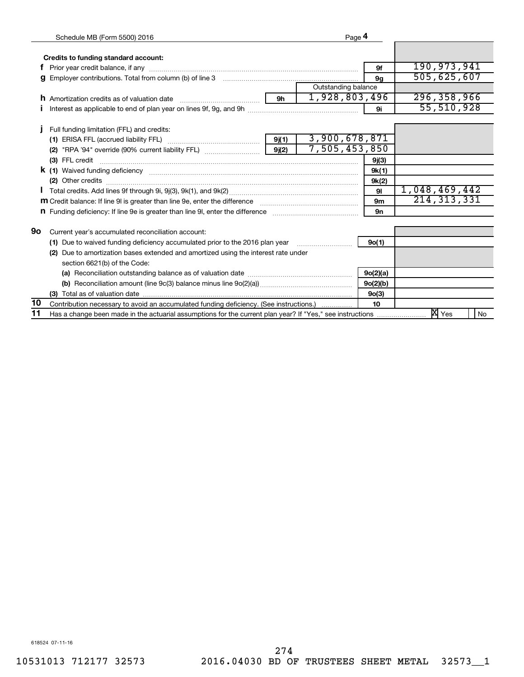|     | Schedule MB (Form 5500) 2016                                                                                                                                                                                                              |           | Page 4              |                                |                         |
|-----|-------------------------------------------------------------------------------------------------------------------------------------------------------------------------------------------------------------------------------------------|-----------|---------------------|--------------------------------|-------------------------|
|     |                                                                                                                                                                                                                                           |           |                     |                                |                         |
|     | Credits to funding standard account:                                                                                                                                                                                                      |           |                     |                                |                         |
|     |                                                                                                                                                                                                                                           |           |                     | 9f                             | 190,973,941             |
|     |                                                                                                                                                                                                                                           | <b>9a</b> | 505,625,607         |                                |                         |
|     |                                                                                                                                                                                                                                           |           | Outstanding balance |                                |                         |
|     | <b>h</b> Amortization credits as of valuation date                                                                                                                                                                                        |           | 1,928,803,496       |                                | 296, 358, 966           |
|     |                                                                                                                                                                                                                                           |           |                     | 9i                             | 55, 510, 928            |
|     |                                                                                                                                                                                                                                           |           |                     |                                |                         |
|     | Full funding limitation (FFL) and credits:                                                                                                                                                                                                |           | 3,900,678,871       |                                |                         |
|     |                                                                                                                                                                                                                                           | 9j(1)     | 7,505,453,850       |                                |                         |
|     |                                                                                                                                                                                                                                           |           |                     |                                |                         |
|     |                                                                                                                                                                                                                                           |           |                     | 9j(3)                          |                         |
|     | <b>k</b> (1) Waived funding deficiency <b>contract to the contract of the contract of the contract of the contract of the contract of the contract of the contract of the contract of the contract of the contract of the contract of</b> |           |                     | 9k(1)                          |                         |
|     |                                                                                                                                                                                                                                           |           |                     | 9k(2)                          | 1,048,469,442           |
|     |                                                                                                                                                                                                                                           |           |                     | 91                             |                         |
|     | m Credit balance: If line 9I is greater than line 9e, enter the difference <i>manumumumumumumum</i>                                                                                                                                       |           |                     | 9 <sub>m</sub>                 | 214, 313, 331           |
|     | n Funding deficiency: If line 9e is greater than line 9l, enter the difference <i>manual communication</i>                                                                                                                                |           |                     | 9n                             |                         |
| 90  | Current year's accumulated reconciliation account:                                                                                                                                                                                        |           |                     |                                |                         |
|     | (1) Due to waived funding deficiency accumulated prior to the 2016 plan year                                                                                                                                                              |           |                     | 9o(1)                          |                         |
| (2) | Due to amortization bases extended and amortized using the interest rate under                                                                                                                                                            |           |                     |                                |                         |
|     | section 6621(b) of the Code:                                                                                                                                                                                                              |           |                     |                                |                         |
|     |                                                                                                                                                                                                                                           | 9o(2)(a)  |                     |                                |                         |
|     |                                                                                                                                                                                                                                           |           |                     |                                |                         |
|     |                                                                                                                                                                                                                                           |           |                     | 9o(2)(b)<br>9 <sub>0</sub> (3) |                         |
| 10  | Contribution necessary to avoid an accumulated funding deficiency. (See instructions.)                                                                                                                                                    |           |                     | 10                             |                         |
| 11  | Has a change been made in the actuarial assumptions for the current plan year? If "Yes," see instructions                                                                                                                                 |           |                     |                                | $X \times$<br><b>No</b> |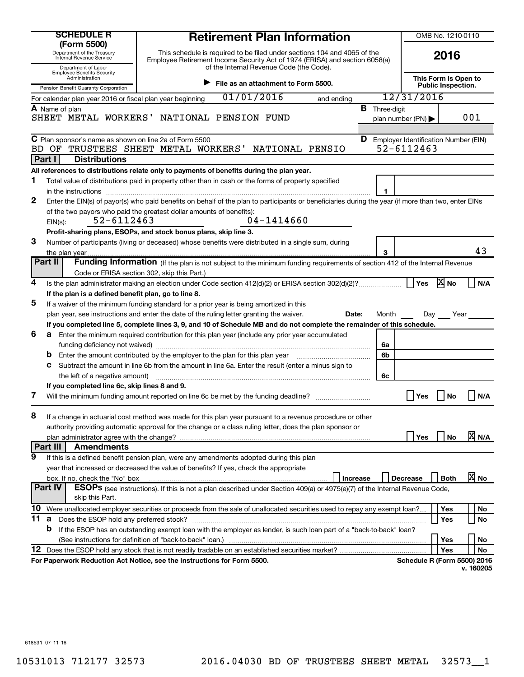|     | <b>SCHEDULE R</b><br>(Form 5500)                                                                                                   | <b>Retirement Plan Information</b>                                                                                                                                                                  |                      | OMB No. 1210-0110                             |                                                   |                   |  |  |  |
|-----|------------------------------------------------------------------------------------------------------------------------------------|-----------------------------------------------------------------------------------------------------------------------------------------------------------------------------------------------------|----------------------|-----------------------------------------------|---------------------------------------------------|-------------------|--|--|--|
|     | Department of the Treasury<br>Internal Revenue Service<br>Department of Labor                                                      | This schedule is required to be filed under sections 104 and 4065 of the<br>Employee Retirement Income Security Act of 1974 (ERISA) and section 6058(a)<br>of the Internal Revenue Code (the Code). |                      |                                               | 2016                                              |                   |  |  |  |
|     | <b>Employee Benefits Security</b><br>Administration<br>File as an attachment to Form 5500.<br>Pension Benefit Guaranty Corporation |                                                                                                                                                                                                     |                      |                                               | This Form is Open to<br><b>Public Inspection.</b> |                   |  |  |  |
|     | For calendar plan year 2016 or fiscal plan year beginning                                                                          | 01/01/2016<br>and ending                                                                                                                                                                            |                      | 12/31/2016                                    |                                                   |                   |  |  |  |
|     | A Name of plan                                                                                                                     |                                                                                                                                                                                                     | <b>B</b> Three-digit |                                               |                                                   |                   |  |  |  |
|     |                                                                                                                                    | SHEET METAL WORKERS' NATIONAL PENSION FUND                                                                                                                                                          |                      | plan number (PN) $\blacktriangleright$        |                                                   | 001               |  |  |  |
|     |                                                                                                                                    |                                                                                                                                                                                                     |                      |                                               |                                                   |                   |  |  |  |
|     | C Plan sponsor's name as shown on line 2a of Form 5500                                                                             |                                                                                                                                                                                                     |                      | <b>D</b> Employer Identification Number (EIN) |                                                   |                   |  |  |  |
| BD. | OF                                                                                                                                 | NATIONAL PENSIO<br>TRUSTEES SHEET METAL WORKERS'                                                                                                                                                    |                      | 52-6112463                                    |                                                   |                   |  |  |  |
|     | Part I<br><b>Distributions</b>                                                                                                     |                                                                                                                                                                                                     |                      |                                               |                                                   |                   |  |  |  |
|     |                                                                                                                                    | All references to distributions relate only to payments of benefits during the plan year.                                                                                                           |                      |                                               |                                                   |                   |  |  |  |
| 1   |                                                                                                                                    | Total value of distributions paid in property other than in cash or the forms of property specified                                                                                                 |                      |                                               |                                                   |                   |  |  |  |
|     | in the instructions                                                                                                                |                                                                                                                                                                                                     | 1                    |                                               |                                                   |                   |  |  |  |
| 2   |                                                                                                                                    | Enter the EIN(s) of payor(s) who paid benefits on behalf of the plan to participants or beneficiaries during the year (if more than two, enter EINs                                                 |                      |                                               |                                                   |                   |  |  |  |
|     |                                                                                                                                    | of the two payors who paid the greatest dollar amounts of benefits):<br>04-1414660                                                                                                                  |                      |                                               |                                                   |                   |  |  |  |
|     | 52-6112463<br>$EIN(s)$ :                                                                                                           |                                                                                                                                                                                                     |                      |                                               |                                                   |                   |  |  |  |
|     |                                                                                                                                    | Profit-sharing plans, ESOPs, and stock bonus plans, skip line 3.                                                                                                                                    |                      |                                               |                                                   |                   |  |  |  |
| 3   |                                                                                                                                    | Number of participants (living or deceased) whose benefits were distributed in a single sum, during                                                                                                 | 3                    |                                               |                                                   | 43                |  |  |  |
|     | Part II                                                                                                                            | Funding Information (If the plan is not subject to the minimum funding requirements of section 412 of the Internal Revenue                                                                          |                      |                                               |                                                   |                   |  |  |  |
|     |                                                                                                                                    | Code or ERISA section 302, skip this Part.)                                                                                                                                                         |                      |                                               |                                                   |                   |  |  |  |
| 4   |                                                                                                                                    |                                                                                                                                                                                                     |                      | Yes                                           | <b>X</b> No                                       | N/A               |  |  |  |
|     | If the plan is a defined benefit plan, go to line 8.                                                                               |                                                                                                                                                                                                     |                      |                                               |                                                   |                   |  |  |  |
| 5   |                                                                                                                                    | If a waiver of the minimum funding standard for a prior year is being amortized in this                                                                                                             |                      |                                               |                                                   |                   |  |  |  |
|     |                                                                                                                                    | plan year, see instructions and enter the date of the ruling letter granting the waiver.<br>Date:                                                                                                   | Month                | Day                                           | Year                                              |                   |  |  |  |
|     |                                                                                                                                    | If you completed line 5, complete lines 3, 9, and 10 of Schedule MB and do not complete the remainder of this schedule.                                                                             |                      |                                               |                                                   |                   |  |  |  |
| 6   |                                                                                                                                    | <b>a</b> Enter the minimum required contribution for this plan year (include any prior year accumulated                                                                                             |                      |                                               |                                                   |                   |  |  |  |
|     |                                                                                                                                    |                                                                                                                                                                                                     | 6a                   |                                               |                                                   |                   |  |  |  |
|     |                                                                                                                                    | Enter the amount contributed by the employer to the plan for this plan year manufactured contributed by the employer to the plan for this plan year                                                 | 6b                   |                                               |                                                   |                   |  |  |  |
|     | С                                                                                                                                  | Subtract the amount in line 6b from the amount in line 6a. Enter the result (enter a minus sign to                                                                                                  |                      |                                               |                                                   |                   |  |  |  |
|     | the left of a negative amount)                                                                                                     |                                                                                                                                                                                                     | 6с                   |                                               |                                                   |                   |  |  |  |
|     | If you completed line 6c, skip lines 8 and 9.                                                                                      |                                                                                                                                                                                                     |                      |                                               |                                                   |                   |  |  |  |
| 7   |                                                                                                                                    | Will the minimum funding amount reported on line 6c be met by the funding deadline?                                                                                                                 |                      | Yes                                           | No                                                | N/A               |  |  |  |
| 8   |                                                                                                                                    | If a change in actuarial cost method was made for this plan year pursuant to a revenue procedure or other                                                                                           |                      |                                               |                                                   |                   |  |  |  |
|     |                                                                                                                                    | authority providing automatic approval for the change or a class ruling letter, does the plan sponsor or                                                                                            |                      |                                               |                                                   |                   |  |  |  |
|     |                                                                                                                                    |                                                                                                                                                                                                     |                      | Yes                                           | <b>No</b>                                         | <b>X</b> N/A      |  |  |  |
|     | Part III<br><b>Amendments</b>                                                                                                      |                                                                                                                                                                                                     |                      |                                               |                                                   |                   |  |  |  |
| 9   |                                                                                                                                    | If this is a defined benefit pension plan, were any amendments adopted during this plan                                                                                                             |                      |                                               |                                                   |                   |  |  |  |
|     |                                                                                                                                    | year that increased or decreased the value of benefits? If yes, check the appropriate                                                                                                               |                      |                                               |                                                   |                   |  |  |  |
|     | box. If no, check the "No" box                                                                                                     | Increase                                                                                                                                                                                            |                      | <b>Decrease</b>                               | <b>Both</b>                                       | $\overline{X}$ No |  |  |  |
|     | <b>Part IV</b>                                                                                                                     | <b>ESOPS</b> (see instructions). If this is not a plan described under Section 409(a) or 4975(e)(7) of the Internal Revenue Code,                                                                   |                      |                                               |                                                   |                   |  |  |  |
|     | skip this Part.                                                                                                                    |                                                                                                                                                                                                     |                      |                                               |                                                   |                   |  |  |  |
| 10  |                                                                                                                                    | Were unallocated employer securities or proceeds from the sale of unallocated securities used to repay any exempt loan?                                                                             |                      |                                               | Yes                                               | No                |  |  |  |
| 11  | <b>a</b> Does the ESOP hold any preferred stock?                                                                                   |                                                                                                                                                                                                     |                      |                                               | Yes                                               | No                |  |  |  |
|     | b                                                                                                                                  | If the ESOP has an outstanding exempt loan with the employer as lender, is such loan part of a "back-to-back" loan?                                                                                 |                      |                                               |                                                   |                   |  |  |  |
|     |                                                                                                                                    |                                                                                                                                                                                                     |                      |                                               | Yes                                               | No                |  |  |  |
| 12  |                                                                                                                                    |                                                                                                                                                                                                     |                      |                                               | Yes                                               | No                |  |  |  |
|     |                                                                                                                                    | For Paperwork Reduction Act Notice, see the Instructions for Form 5500.                                                                                                                             |                      | <b>Schedule R (Form 5500) 2016</b>            |                                                   |                   |  |  |  |
|     |                                                                                                                                    |                                                                                                                                                                                                     |                      |                                               |                                                   | v. 160205         |  |  |  |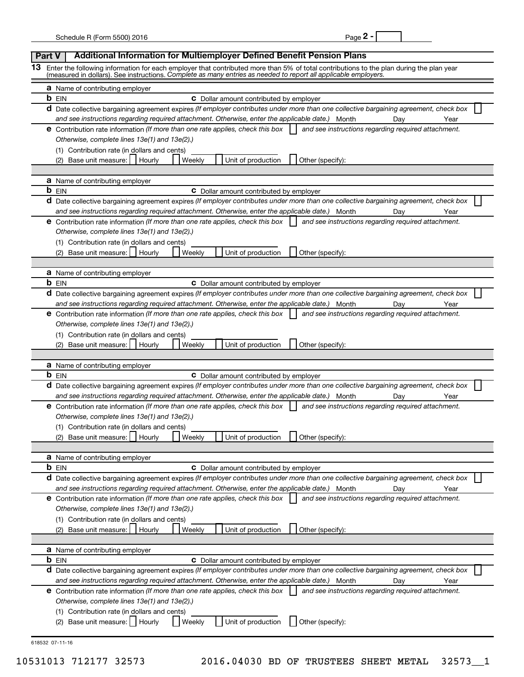| Page 2 |  |
|--------|--|
|--------|--|

|    | Additional Information for Multiemployer Defined Benefit Pension Plans<br><b>Part V</b>                                                                                                                                                                    |
|----|------------------------------------------------------------------------------------------------------------------------------------------------------------------------------------------------------------------------------------------------------------|
| 13 | Enter the following information for each employer that contributed more than 5% of total contributions to the plan during the plan year<br>(measured in dollars). See instructions. Complete as many entries as needed to report all applicable employers. |
|    | <b>a</b> Name of contributing employer                                                                                                                                                                                                                     |
|    | <b>b</b> EIN<br><b>C</b> Dollar amount contributed by employer                                                                                                                                                                                             |
|    | d Date collective bargaining agreement expires (If employer contributes under more than one collective bargaining agreement, check box                                                                                                                     |
|    | and see instructions regarding required attachment. Otherwise, enter the applicable date.) Month<br>Day<br>Year                                                                                                                                            |
|    | <b>e</b> Contribution rate information (If more than one rate applies, check this box<br>and see instructions regarding required attachment.                                                                                                               |
|    | Otherwise, complete lines 13e(1) and 13e(2).)                                                                                                                                                                                                              |
|    | (1) Contribution rate (in dollars and cents)                                                                                                                                                                                                               |
|    | (2) Base unit measure:<br>Unit of production<br>Hourly<br>Weekly<br>Other (specify):                                                                                                                                                                       |
|    |                                                                                                                                                                                                                                                            |
|    | <b>a</b> Name of contributing employer                                                                                                                                                                                                                     |
|    | <b>b</b> EIN<br><b>C</b> Dollar amount contributed by employer                                                                                                                                                                                             |
|    | d Date collective bargaining agreement expires (If employer contributes under more than one collective bargaining agreement, check box                                                                                                                     |
|    | and see instructions regarding required attachment. Otherwise, enter the applicable date.) Month<br>Day<br>Year                                                                                                                                            |
|    | <b>e</b> Contribution rate information (If more than one rate applies, check this box<br>and see instructions regarding required attachment.                                                                                                               |
|    | Otherwise, complete lines 13e(1) and 13e(2).)                                                                                                                                                                                                              |
|    | (1) Contribution rate (in dollars and cents)                                                                                                                                                                                                               |
|    | (2) Base unit measure:<br>Hourly<br>Weekly<br>Unit of production<br>Other (specify):                                                                                                                                                                       |
|    |                                                                                                                                                                                                                                                            |
|    | <b>a</b> Name of contributing employer                                                                                                                                                                                                                     |
|    | <b>b</b> EIN<br>C Dollar amount contributed by employer                                                                                                                                                                                                    |
|    | d Date collective bargaining agreement expires (If employer contributes under more than one collective bargaining agreement, check box<br>and see instructions regarding required attachment. Otherwise, enter the applicable date.)                       |
|    | Month<br>Day<br>Year<br><b>e</b> Contribution rate information (If more than one rate applies, check this box<br>and see instructions regarding required attachment.                                                                                       |
|    | Otherwise, complete lines 13e(1) and 13e(2).)                                                                                                                                                                                                              |
|    | (1) Contribution rate (in dollars and cents)                                                                                                                                                                                                               |
|    | (2) Base unit measure:<br>Unit of production<br>Other (specify):<br>Hourly<br>Weekly                                                                                                                                                                       |
|    |                                                                                                                                                                                                                                                            |
|    | <b>a</b> Name of contributing employer                                                                                                                                                                                                                     |
|    | <b>b</b> EIN<br><b>C</b> Dollar amount contributed by employer                                                                                                                                                                                             |
|    | d Date collective bargaining agreement expires (If employer contributes under more than one collective bargaining agreement, check box                                                                                                                     |
|    | and see instructions regarding required attachment. Otherwise, enter the applicable date.)<br>Month<br>Day<br>Year                                                                                                                                         |
|    | <b>e</b> Contribution rate information (If more than one rate applies, check this box<br>and see instructions regarding required attachment.                                                                                                               |
|    | Otherwise, complete lines 13e(1) and 13e(2).)                                                                                                                                                                                                              |
|    | (1) Contribution rate (in dollars and cents)                                                                                                                                                                                                               |
|    | Base unit measure:<br>Hourly<br>Weekly<br>Unit of production<br>Other (specify):<br>(2)                                                                                                                                                                    |
|    |                                                                                                                                                                                                                                                            |
|    | <b>a</b> Name of contributing employer                                                                                                                                                                                                                     |
|    | <b>b</b> EIN<br><b>C</b> Dollar amount contributed by employer                                                                                                                                                                                             |
|    | d Date collective bargaining agreement expires (If employer contributes under more than one collective bargaining agreement, check box                                                                                                                     |
|    | and see instructions regarding required attachment. Otherwise, enter the applicable date.)<br>Month<br>Day<br>Year                                                                                                                                         |
|    | e Contribution rate information (If more than one rate applies, check this box<br>and see instructions regarding required attachment.                                                                                                                      |
|    | Otherwise, complete lines 13e(1) and 13e(2).)                                                                                                                                                                                                              |
|    | (1) Contribution rate (in dollars and cents)                                                                                                                                                                                                               |
|    | Base unit measure:<br>Other (specify):<br>Unit of production<br>(2)<br>Hourly<br>Weekly                                                                                                                                                                    |
|    |                                                                                                                                                                                                                                                            |
|    | <b>a</b> Name of contributing employer                                                                                                                                                                                                                     |
|    | <b>b</b> EIN<br><b>C</b> Dollar amount contributed by employer                                                                                                                                                                                             |
|    | d Date collective bargaining agreement expires (If employer contributes under more than one collective bargaining agreement, check box                                                                                                                     |
|    | and see instructions regarding required attachment. Otherwise, enter the applicable date.)<br>Month<br>Day<br>Year                                                                                                                                         |
|    | <b>e</b> Contribution rate information (If more than one rate applies, check this box<br>and see instructions regarding required attachment.                                                                                                               |
|    | Otherwise, complete lines 13e(1) and 13e(2).)                                                                                                                                                                                                              |
|    | (1) Contribution rate (in dollars and cents)                                                                                                                                                                                                               |
|    | Base unit measure:  <br>Unit of production<br>Other (specify):<br>Weekly<br>(2)<br>Hourly                                                                                                                                                                  |
|    |                                                                                                                                                                                                                                                            |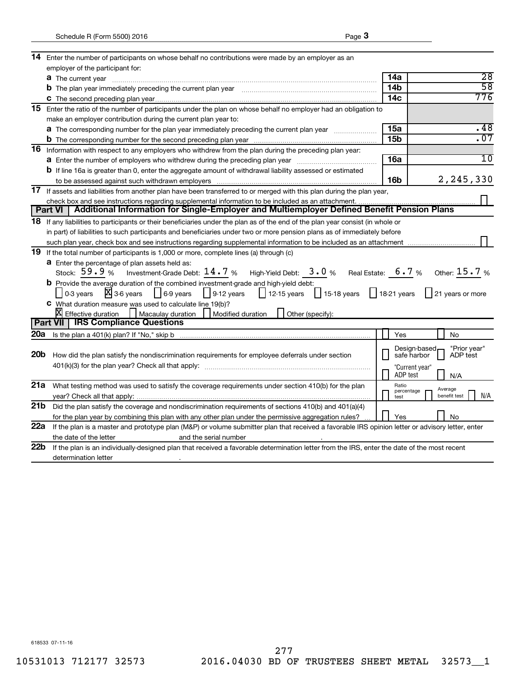| 14                                                                                                                                                                                                                                   | Enter the number of participants on whose behalf no contributions were made by an employer as an                                                 |                 |                             |                                |  |  |  |                                                                                                                           |
|--------------------------------------------------------------------------------------------------------------------------------------------------------------------------------------------------------------------------------------|--------------------------------------------------------------------------------------------------------------------------------------------------|-----------------|-----------------------------|--------------------------------|--|--|--|---------------------------------------------------------------------------------------------------------------------------|
|                                                                                                                                                                                                                                      | employer of the participant for:                                                                                                                 |                 |                             |                                |  |  |  |                                                                                                                           |
|                                                                                                                                                                                                                                      | <b>a</b> The current year                                                                                                                        | 14a             |                             | $\overline{28}$                |  |  |  |                                                                                                                           |
|                                                                                                                                                                                                                                      | b The plan year immediately preceding the current plan year [11] [11] The plan year network of the plan year network of the plan year network.   | 14 <sub>b</sub> |                             | $\overline{58}$                |  |  |  |                                                                                                                           |
|                                                                                                                                                                                                                                      |                                                                                                                                                  | 14 <sub>c</sub> |                             | 776                            |  |  |  |                                                                                                                           |
| 15                                                                                                                                                                                                                                   | Enter the ratio of the number of participants under the plan on whose behalf no employer had an obligation to                                    |                 |                             |                                |  |  |  |                                                                                                                           |
|                                                                                                                                                                                                                                      | make an employer contribution during the current plan year to:                                                                                   |                 |                             |                                |  |  |  |                                                                                                                           |
|                                                                                                                                                                                                                                      | <b>a</b> The corresponding number for the plan year immediately preceding the current plan year                                                  | 15a             |                             | .48                            |  |  |  |                                                                                                                           |
|                                                                                                                                                                                                                                      |                                                                                                                                                  | 15 <sub>b</sub> |                             | .07                            |  |  |  |                                                                                                                           |
|                                                                                                                                                                                                                                      | 16 Information with respect to any employers who withdrew from the plan during the preceding plan year:                                          |                 |                             |                                |  |  |  |                                                                                                                           |
|                                                                                                                                                                                                                                      |                                                                                                                                                  | 16a             |                             | 10                             |  |  |  |                                                                                                                           |
|                                                                                                                                                                                                                                      | <b>b</b> If line 16a is greater than 0, enter the aggregate amount of withdrawal liability assessed or estimated                                 |                 |                             |                                |  |  |  |                                                                                                                           |
|                                                                                                                                                                                                                                      |                                                                                                                                                  | 16 <sub>b</sub> |                             | 2,245,330                      |  |  |  |                                                                                                                           |
|                                                                                                                                                                                                                                      | 17 If assets and liabilities from another plan have been transferred to or merged with this plan during the plan year,                           |                 |                             |                                |  |  |  |                                                                                                                           |
|                                                                                                                                                                                                                                      | check box and see instructions regarding supplemental information to be included as an attachment.                                               |                 |                             |                                |  |  |  |                                                                                                                           |
|                                                                                                                                                                                                                                      | Additional Information for Single-Employer and Multiemployer Defined Benefit Pension Plans<br><b>Part VI</b>                                     |                 |                             |                                |  |  |  |                                                                                                                           |
|                                                                                                                                                                                                                                      | 18 If any liabilities to participants or their beneficiaries under the plan as of the end of the plan year consist (in whole or                  |                 |                             |                                |  |  |  |                                                                                                                           |
|                                                                                                                                                                                                                                      | in part) of liabilities to such participants and beneficiaries under two or more pension plans as of immediately before                          |                 |                             |                                |  |  |  |                                                                                                                           |
|                                                                                                                                                                                                                                      |                                                                                                                                                  |                 |                             |                                |  |  |  |                                                                                                                           |
|                                                                                                                                                                                                                                      | 19 If the total number of participants is 1,000 or more, complete lines (a) through (c)                                                          |                 |                             |                                |  |  |  |                                                                                                                           |
| <b>a</b> Enter the percentage of plan assets held as:                                                                                                                                                                                |                                                                                                                                                  |                 |                             |                                |  |  |  |                                                                                                                           |
| High-Yield Debt: $3.0%$ Real Estate: $6.7%$ Other: $15.7%$<br>Stock: $59.9%$<br>Investment-Grade Debt: $14$ $\rlap{.}7$ $\rlap{.} \%$<br><b>b</b> Provide the average duration of the combined investment-grade and high-yield debt: |                                                                                                                                                  |                 |                             |                                |  |  |  |                                                                                                                           |
|                                                                                                                                                                                                                                      |                                                                                                                                                  |                 |                             |                                |  |  |  | $X_3$ 3-6 years<br>$\frac{1}{15.18}$ years<br>$\vert$ 6-9 years<br>$\vert$ 9-12 years<br>$\vert$ 12-15 years<br>0-3 years |
|                                                                                                                                                                                                                                      | C What duration measure was used to calculate line 19(b)?                                                                                        |                 |                             |                                |  |  |  |                                                                                                                           |
|                                                                                                                                                                                                                                      | X Effective duration<br>Macaulay duration<br>    Modified duration<br>Other (specify):                                                           |                 |                             |                                |  |  |  |                                                                                                                           |
|                                                                                                                                                                                                                                      | <b>Part VII   IRS Compliance Questions</b>                                                                                                       |                 |                             |                                |  |  |  |                                                                                                                           |
| 20a                                                                                                                                                                                                                                  |                                                                                                                                                  |                 | Yes                         | No                             |  |  |  |                                                                                                                           |
|                                                                                                                                                                                                                                      |                                                                                                                                                  |                 |                             |                                |  |  |  |                                                                                                                           |
| 20 <sub>b</sub>                                                                                                                                                                                                                      | How did the plan satisfy the nondiscrimination requirements for employee deferrals under section                                                 |                 | Design-based<br>safe harbor | "Prior year"<br>ADP test       |  |  |  |                                                                                                                           |
|                                                                                                                                                                                                                                      |                                                                                                                                                  |                 | "Current year"              |                                |  |  |  |                                                                                                                           |
|                                                                                                                                                                                                                                      |                                                                                                                                                  |                 | ADP test                    | N/A                            |  |  |  |                                                                                                                           |
| 21a                                                                                                                                                                                                                                  | What testing method was used to satisfy the coverage requirements under section 410(b) for the plan                                              |                 | Ratio                       |                                |  |  |  |                                                                                                                           |
|                                                                                                                                                                                                                                      |                                                                                                                                                  |                 | percentage<br>test          | Average<br>benefit test<br>N/A |  |  |  |                                                                                                                           |
| 21b                                                                                                                                                                                                                                  | Did the plan satisfy the coverage and nondiscrimination requirements of sections 410(b) and 401(a)(4)                                            |                 |                             |                                |  |  |  |                                                                                                                           |
|                                                                                                                                                                                                                                      | for the plan year by combining this plan with any other plan under the permissive aggregation rules?                                             |                 | Yes                         | No                             |  |  |  |                                                                                                                           |
| 22a                                                                                                                                                                                                                                  | If the plan is a master and prototype plan (M&P) or volume submitter plan that received a favorable IRS opinion letter or advisory letter, enter |                 |                             |                                |  |  |  |                                                                                                                           |
|                                                                                                                                                                                                                                      | the date of the letter<br>and the serial number                                                                                                  |                 |                             |                                |  |  |  |                                                                                                                           |
| 22 <sub>b</sub>                                                                                                                                                                                                                      | If the plan is an individually-designed plan that received a favorable determination letter from the IRS, enter the date of the most recent      |                 |                             |                                |  |  |  |                                                                                                                           |
|                                                                                                                                                                                                                                      | determination letter                                                                                                                             |                 |                             |                                |  |  |  |                                                                                                                           |
|                                                                                                                                                                                                                                      |                                                                                                                                                  |                 |                             |                                |  |  |  |                                                                                                                           |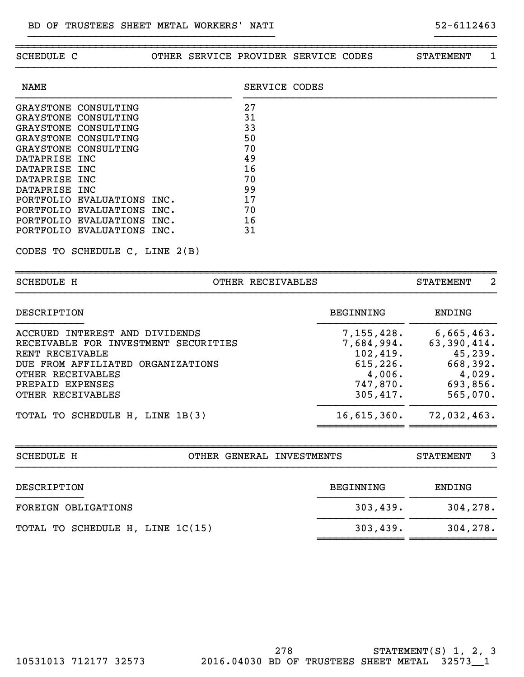| SCHEDULE C                                                                                                                                                                                                                                                                                                                                                                    |      | OTHER SERVICE PROVIDER SERVICE CODES                                 |  | STATEMENT | 1 |
|-------------------------------------------------------------------------------------------------------------------------------------------------------------------------------------------------------------------------------------------------------------------------------------------------------------------------------------------------------------------------------|------|----------------------------------------------------------------------|--|-----------|---|
| <b>NAME</b>                                                                                                                                                                                                                                                                                                                                                                   |      | SERVICE CODES                                                        |  |           |   |
| CONSULTING<br><b>GRAYSTONE</b><br><b>GRAYSTONE</b><br>CONSULTING<br><b>GRAYSTONE</b><br>CONSULTING<br><b>GRAYSTONE</b><br>CONSULTING<br><b>GRAYSTONE</b><br>CONSULTING<br><b>DATAPRISE</b><br>INC<br><b>DATAPRISE</b><br>INC<br><b>DATAPRISE</b><br>INC<br><b>DATAPRISE</b><br>INC<br>PORTFOLIO<br>EVALUATIONS INC.<br>PORTFOLIO<br>EVALUATIONS<br>PORTFOLIO EVALUATIONS INC. | INC. | 27<br>31<br>33<br>50<br>70<br>49<br>16<br>70<br>99<br>17<br>70<br>16 |  |           |   |
| PORTFOLIO EVALUATIONS INC.<br>CODES TO SCHEDULE C, LINE 2(B)                                                                                                                                                                                                                                                                                                                  |      | 31                                                                   |  |           |   |
| SCHEDULE H                                                                                                                                                                                                                                                                                                                                                                    |      | OTHER RECEIVABLES                                                    |  | STATEMENT | 2 |

}}}}}}}}}}}}}}}}}}}}}}}}}}}}}}}}}}}}}}}} }}}}}}}}}}

| <b>DESCRIPTION</b>                                                                                                                                  | BEGINNING                                                   | ENDING                                                      |
|-----------------------------------------------------------------------------------------------------------------------------------------------------|-------------------------------------------------------------|-------------------------------------------------------------|
| ACCRUED INTEREST AND DIVIDENDS<br>RECEIVABLE FOR INVESTMENT SECURITIES<br>RENT RECEIVABLE<br>DUE FROM AFFILIATED ORGANIZATIONS<br>OTHER RECEIVABLES | 7,155,428.<br>7,684,994.<br>102,419.<br>615, 226.<br>4,006. | 6,665,463.<br>63,390,414.<br>45, 239.<br>668,392.<br>4,029. |
| PREPAID EXPENSES<br>OTHER RECEIVABLES                                                                                                               | 747,870.<br>305,417.                                        | 693,856.<br>565,070.                                        |
| TOTAL TO SCHEDULE H, LINE 1B(3)                                                                                                                     | $16,615,360$ .                                              | 72,032,463.                                                 |

| <b>SCHEDULE H</b>                |  | OTHER GENERAL INVESTMENTS |                  | <b>STATEMENT</b> | 3 |
|----------------------------------|--|---------------------------|------------------|------------------|---|
| DESCRIPTION                      |  |                           | <b>BEGINNING</b> | <b>ENDING</b>    |   |
| FOREIGN OBLIGATIONS              |  | 303,439.                  | 304, 278.        |                  |   |
| TOTAL TO SCHEDULE H, LINE 1C(15) |  |                           | 303,439.         | 304,278.         |   |
|                                  |  |                           |                  |                  |   |